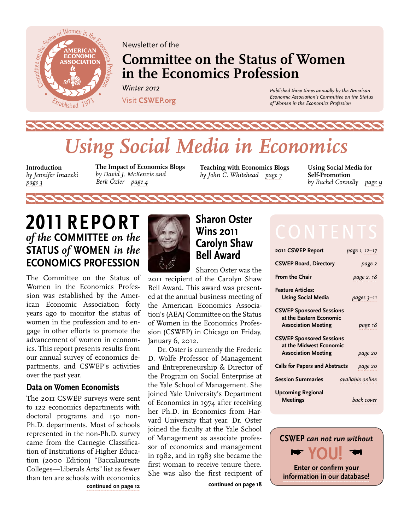<span id="page-0-0"></span>

Newsletter of the

# **Committee on the Status of Women in the Economics Profession**

*Winter 2012* 

Visit **[CSWEP.org](http://www.aeaweb.org/committees/cswep/)**

*Published three times annually by the American Economic Association's Committee on the Status of Women in the Economics Profession*

# *Using Social Media in Economics*

**Introduction**  *by Jennifer Imazeki [page 3](#page-2-0)* 

**The Impact of Economics Blogs** *by David J. McKenzie and Berk Özler [page 4](#page-3-0)*

**Teaching with Economics Blogs**  *by John C. Whitehead [page 7](#page-6-0)*

**Using Social Media for Self-Promotion**  *by Rachel Connelly [page 9](#page-8-0)*

# **2011 Report**  *of the* **Committee** *on the*  **Status** *of* **Women** *in the*  **Economics Profession**

The Committee on the Status of Women in the Economics Profession was established by the American Economic Association forty years ago to monitor the status of women in the profession and to engage in other efforts to promote the advancement of women in economics. This report presents results from our annual survey of economics departments, and CSWEP's activities over the past year.

### **Data on Women Economists**

The 2011 CSWEP surveys were sent to 122 economics departments with doctoral programs and 150 non-Ph.D. departments. Most of schools represented in the non-Ph.D. survey came from the Carnegie Classification of Institutions of Higher Education (2000 Edition) "Baccalaureate Colleges—Liberals Arts" list as fewer than ten are schools with economics **[continued on page 12](#page-11-0)**



# **Sharon Oster Wins 2011 Carolyn Shaw Bell Award**

Sharon Oster was the

2011 recipient of the Carolyn Shaw Bell Award. This award was presented at the annual business meeting of the American Economics Association's (AEA) Committee on the Status of Women in the Economics Profession (CSWEP) in Chicago on Friday, January 6, 2012.

Dr. Oster is currently the Frederic D. Wolfe Professor of Management and Entrepreneurship & Director of the Program on Social Enterprise at the Yale School of Management. She joined Yale University's Department of Economics in 1974 after receiving her Ph.D. in Economics from Harvard University that year. Dr. Oster joined the faculty at the Yale School of Management as associate professor of economics and management in 1982, and in 1983 she became the first woman to receive tenure there. She was also the first recipient of

**[continued on page 18](#page-17-0)**

| 2011 CSWEP Report                                                                        | page 1, 12-17    |
|------------------------------------------------------------------------------------------|------------------|
| <b>CSWEP Board, Directory</b>                                                            | page 2           |
| <b>From the Chair</b>                                                                    | page 2, 18       |
| <b>Feature Articles:</b><br><b>Using Social Media</b>                                    | pages 3-11       |
| <b>CSWEP Sponsored Sessions</b><br>at the Eastern Economic<br><b>Association Meeting</b> | page 18          |
| <b>CSWEP Sponsored Sessions</b><br>at the Midwest Economic<br><b>Association Meeting</b> | page 20          |
| <b>Calls for Papers and Abstracts</b>                                                    | page 20          |
| <b>Session Summaries</b>                                                                 | available online |
| <b>Upcoming Regional</b><br><b>Meetings</b>                                              | back cover       |

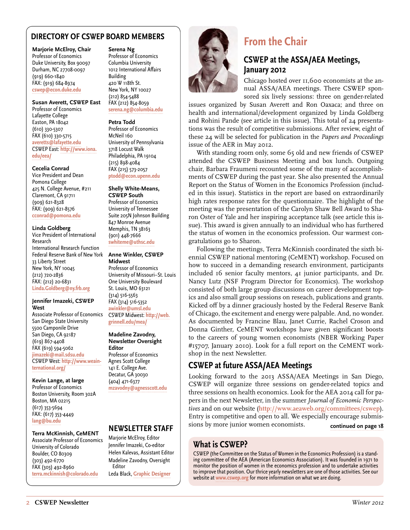#### <span id="page-1-0"></span>**DIRECTORY OF CSWEP BOARD MEMBERS**

#### **Marjorie McElroy, Chair**

Professor of Economics Duke University, Box 90097 Durham, NC 27708-0097 (919) 660-1840 FAX: (919) 684-8974 **[cswep@econ.duke.edu](mailto:cswep%40econ.duke.edu?subject=)**

#### **Susan Averett, CSWEP East**

Professor of Economics Lafayette College Easton, PA 18042 (610) 330-5307 FAX (610) 330-5715 **[averetts@lafayette.edu](mailto:averetts%40lafayette.edu?subject=)** CSWEP East: **[http://www.iona.](http://www.iona.edu/eea/) [edu/eea/](http://www.iona.edu/eea/)**

#### **Cecelia Conrad**

Vice President and Dean Pomona College 425 N. College Avenue, #211 Claremont, CA 91711 (909) 621-8328 FAX: (909) 621-8576 **[cconrad@pomona.edu](mailto:cconrad%40pomona.edu?subject=)**

#### **Linda Goldberg**

Vice President of International Research International Research Function Federal Reserve Bank of New York 33 Liberty Street New York, NY 10045 (212) 720-2836 FAX: (212) 20-6831 **[Linda.Goldberg@ny.frb.org](mailto:Linda.Goldberg%40ny.frb.org?subject=)**

#### **Jennifer Imazeki, CSWEP West**

Associate Professor of Economics San Diego State University 5500 Camponile Drive San Diego, CA 92187 (619) 867-4408 FAX (619) 594-5062 **[jimazeki@mail.sdsu.edu](mailto:jimazeki%40mail.sdsu.edu?subject=)** CSWEP West: **[http://www.weain](http://www.weainternational.org/)[ternational.org/](http://www.weainternational.org/)**

#### **Kevin Lange, at large**

Professor of Economics Boston University, Room 302A Boston, MA 02215 (617) 353-5694 FAX: (617) 353-4449 **[lang@bu.edu](mailto:lang%40bu.edu?subject=)**

#### **Terra McKinnish, CeMENT**

Associate Professor of Economics University of Colorado Boulder, CO 80309 (303) 492-6770 FAX (303) 492-8960 **[terra.mckinnish@colorado.edu](mailto:terra.mckinnish%40colorado.edu?subject=)**

#### **Serena Ng**

Professor of Economics Columbia University 1012 International Affairs Building 420 W 118th St. New York, NY 10027 (212) 854-5488 FAX (212) 854-8059 **[serena.ng@columbia.edu](mailto:serena.ng%40columbia.edu?subject=)**

## **Petra Todd**

Professor of Economics McNeil 160 University of Pennsylvania 3718 Locust Walk Philadelphia, PA 19104 (215) 898-4084 FAX (215) 573-2057 **[ptodd@econ.upenn.edu](mailto:ptodd%40econ.upenn.edu?subject=)**

#### **Shelly White-Means,**

**CSWEP South** Professor of Economics University of Tennessee Suite 205N Johnson Building 847 Monroe Avenue Memphis, TN 38163 (901) 448-7666 **[swhiteme@uthsc.edu](mailto:swhiteme%40uthsc.edu?subject=)**

#### **Anne Winkler, CSWEP Midwest**

Professor of Economics University of Missouri–St. Louis One University Boulevard St. Louis, MO 63121 (314) 516-5563 FAX (314) 516-5352 **[awinkler@umsl.edu](mailto:awinkler%40umsl.edu?subject=)** CSWEP Midwest: **[http://web.](http://web.grinnell.edu/mea/) [grinnell.edu/mea/](http://web.grinnell.edu/mea/)**

#### **Madeline Zavodny, Newsletter Oversight Editor**

Professor of Economics Agnes Scott College 141 E. College Ave. Decatur, GA 30030 (404) 471-6377 **[mzavodny@agnesscott.edu](mailto:mzavodny%40agnesscott.edu?subject=)**

### **NEWSLETTER STAFF**

Marjorie McElroy, Editor Jennifer Imazeki, Co-editor Helen Kalevas, Assistant Editor Madeline Zavodny, Oversight Editor Leda Black, **[Graphic Designer](http://lblackimp.com)**



# **From the Chair**

## **CSWEP at the ASSA/AEA Meetings, January 2012**

Chicago hosted over 11,600 economists at the annual ASSA/AEA meetings. There CSWEP sponsored six lively sessions: three on gender-related

issues organized by Susan Averett and Ron Oaxaca; and three on health and international/development organized by Linda Goldberg and Rohini Pande (see article in this issue). This total of 24 presentations was the result of competitive submissions. After review, eight of these 24 will be selected for publication in the *Papers and Proceedings*  issue of the AER in May 2012.

With standing room only, some 65 old and new friends of CSWEP attended the CSWEP Business Meeting and box lunch. Outgoing chair, Barbara Fraumeni recounted some of the many of accomplishments of CSWEP during the past year. She also presented the Annual Report on the Status of Women in the Economics Profession (included in this issue). Statistics in the report are based on extraordinarily high rates response rates for the questionnaire. The highlight of the meeting was the presentation of the Carolyn Shaw Bell Award to Sharon Oster of Yale and her inspiring acceptance talk (see article this issue). This award is given annually to an individual who has furthered the status of women in the economics profession. Our warmest congratulations go to Sharon.

Following the meetings, Terra McKinnish coordinated the sixth biennial CSWEP national mentoring (CeMENT) workshop. Focused on how to succeed in a demanding research environment, participants included 16 senior faculty mentors, 41 junior participants, and Dr. Nancy Lutz (NSF Program Director for Economics). The workshop consisted of both large group discussions on career development topics and also small group sessions on reseach, publications and grants. Kicked off by a dinner graciously hosted by the Federal Reserve Bank of Chicago, the excitement and energy were palpable. And, no wonder. As documented by Francine Blau, Janet Currie, Rachel Croson and Donna Ginther, CeMENT workshops have given significant boosts to the careers of young women economists (NBER Working Paper #15707, January 2010). Look for a full report on the CeMENT workshop in the next Newsletter.

## **CSWEP at future ASSA/AEA Meetings**

Looking forward to the 2013 ASSA/AEA Meetings in San Diego, CSWEP will organize three sessions on gender-related topics and three sessions on health economics. Look for the AEA 2014 call for papers in the next Newsletter, in the summer *Journal of Economic Perspectives* and on our website (**<http://www.aeaweb.org/committees/cswep>**). Entry is competitive and open to all. We especially encourage submissions by more junior women economists. **[continued on page 18](#page-17-0)**

## **What is CSWEP?**

CSWEP (the Committee on the Status of Women in the Economics Profession) is a standing committee of the AEA (American Economics Association). It was founded in 1971 to monitor the position of women in the economics profession and to undertake activities to improve that position. Our thrice yearly newsletters are one of those activities. See our website at **[www.cswep.org](https://www.aeaweb.org/committees/cswep/members/index.php?login)** for more information on what we are doing.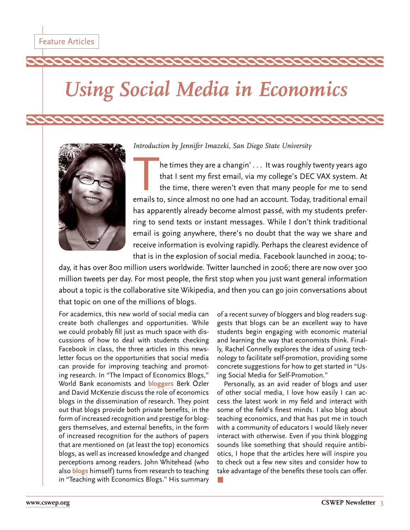# <span id="page-2-0"></span>*Using Social Media in Economics*



*Introduction by Jennifer Imazeki, San Diego State University*

The times they are a changin' . . . It was roughly twenty years ago<br>that I sent my first email, via my college's DEC VAX system. At<br>the time, there weren't even that many people for me to send<br>emails to. since almost no on that I sent my first email, via my college's DEC VAX system. At the time, there weren't even that many people for me to send emails to, since almost no one had an account. Today, traditional email has apparently already become almost passé, with my students preferring to send texts or instant messages. While I don't think traditional email is going anywhere, there's no doubt that the way we share and receive information is evolving rapidly. Perhaps the clearest evidence of that is in the explosion of social media. Facebook launched in 2004; to-

day, it has over 800 million users worldwide. Twitter launched in 2006; there are now over 300 million tweets per day. For most people, the first stop when you just want general information about a topic is the collaborative site Wikipedia, and then you can go join conversations about that topic on one of the millions of blogs.

For academics, this new world of social media can create both challenges and opportunities. While we could probably fill just as much space with discussions of how to deal with students checking Facebook in class, the three articles in this newsletter focus on the opportunities that social media can provide for improving teaching and promoting research. In "The Impact of Economics Blogs," World Bank economists and **[bloggers](http://blogs.worldbank.org/impactevaluations/)** Berk Özler and David McKenzie discuss the role of economics blogs in the dissemination of research. They point out that blogs provide both private benefits, in the form of increased recognition and prestige for bloggers themselves, and external benefits, in the form of increased recognition for the authors of papers that are mentioned on (at least the top) economics blogs, as well as increased knowledge and changed perceptions among readers. John Whitehead (who also **[blogs](http://www.env-econ.net/)** himself) turns from research to teaching in "Teaching with Economics Blogs." His summary

of a recent survey of bloggers and blog readers suggests that blogs can be an excellent way to have students begin engaging with economic material and learning the way that economists think. Finally, Rachel Connelly explores the idea of using technology to facilitate self-promotion, providing some concrete suggestions for how to get started in "Using Social Media for Self-Promotion."

Personally, as an avid reader of blogs and user of other social media, I love how easily I can access the latest work in my field and interact with some of the field's finest minds. I also blog about teaching economics, and that has put me in touch with a community of educators I would likely never interact with otherwise. Even if you think blogging sounds like something that should require antibiotics, I hope that the articles here will inspire you to check out a few new sites and consider how to take advantage of the benefits these tools can offer.

 $\mathcal{C}^{\mathcal{A}}$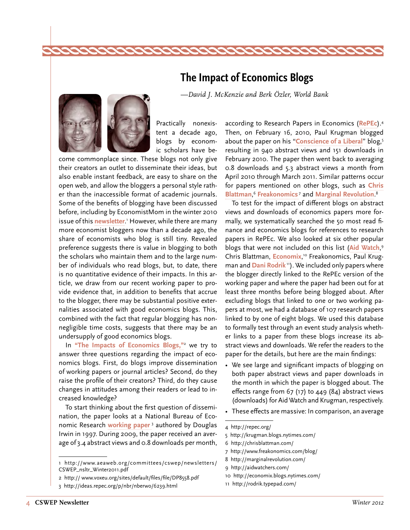

*—David J. McKenzie and Berk Özler, World Bank*

<span id="page-3-0"></span>

Practically nonexistent a decade ago, blogs by economic scholars have be-

come commonplace since. These blogs not only give their creators an outlet to disseminate their ideas, but also enable instant feedback, are easy to share on the open web, and allow the bloggers a personal style rather than the inaccessible format of academic journals. Some of the benefits of blogging have been discussed before, including by EconomistMom in the winter 2010 issue of this **[newsletter](http://www.aeaweb.org/committees/cswep/newsletters/CSWEP_nsltr_Winter2011.pdf)**. 1 However, while there are many more economist bloggers now than a decade ago, the share of economists who blog is still tiny. Revealed preference suggests there is value in blogging to both the scholars who maintain them and to the large number of individuals who read blogs, but, to date, there is no quantitative evidence of their impacts. In this article, we draw from our recent working paper to provide evidence that, in addition to benefits that accrue to the blogger, there may be substantial positive externalities associated with good economics blogs. This, combined with the fact that regular blogging has nonnegligible time costs, suggests that there may be an undersupply of good economics blogs.

In ["The Impacts of Economics Blogs,"](http://www.voxeu.org/sites/default/files/file/DP8558.pdf)<sup>2</sup> we try to answer three questions regarding the impact of economics blogs. First, do blogs improve dissemination of working papers or journal articles? Second, do they raise the profile of their creators? Third, do they cause changes in attitudes among their readers or lead to increased knowledge?

To start thinking about the first question of dissemination, the paper looks at a National Bureau of Economic Research **[working paper](http://ideas.repec.org/p/nbr/nberwo/6239.html)** <sup>3</sup> authored by Douglas Irwin in 1997. During 2009, the paper received an average of 3.4 abstract views and 0.8 downloads per month,

according to Research Papers in Economics (**[RePEc](http://repec.org/)**).4 Then, on February 16, 2010, Paul Krugman blogged about the paper on his "**[Conscience of a Liberal](http://krugman.blogs.nytimes.com/)**" blog,5 resulting in 940 abstract views and 151 downloads in February 2010. The paper then went back to averaging 0.8 downloads and 5.3 abstract views a month from April 2010 through March 2011. Similar patterns occur for papers mentioned on other blogs, such as **[Chris](http://chrisblattman.com/)  [Blattman](http://chrisblattman.com/)**, <sup>6</sup> **[Freakonomics](http://www.freakonomics.com/blog/)** <sup>7</sup> and **[Marginal Revolution](http://marginalrevolution.com/)**. 8

To test for the impact of different blogs on abstract views and downloads of economics papers more formally, we systematically searched the 50 most read finance and economics blogs for references to research papers in RePEc. We also looked at six other popular blogs that were not included on this list (**[Aid Watch](http://aidwatchers.com/)**, 9 Chris Blattman, **[Economix](http://economix.blogs.nytimes.com/)**, 10 Freakonomics, Paul Krugman and **[Dani Rodrik](http://rodrik.typepad.com/)** 11). We included only papers where the blogger directly linked to the RePEc version of the working paper and where the paper had been out for at least three months before being blogged about. After excluding blogs that linked to one or two working papers at most, we had a database of 107 research papers linked to by one of eight blogs. We used this database to formally test through an event study analysis whether links to a paper from these blogs increase its abstract views and downloads. We refer the readers to the paper for the details, but here are the main findings:

- We see large and significant impacts of blogging on both paper abstract views and paper downloads in the month in which the paper is blogged about. The effects range from 67 (17) to 449 (84) abstract views (downloads) for Aid Watch and Krugman, respectively.
- These effects are massive: In comparison, an average

- 5 http://krugman.blogs.nytimes.com/
- 6 http://chrisblattman.com/
- 7 http://www.freakonomics.com/blog/
- 8 http://marginalrevolution.com/
- 9 http://aidwatchers.com/
- 10 http://economix.blogs.nytimes.com/
- 11 http://rodrik.typepad.com/

<sup>1</sup> http://www.aeaweb.org/committees/cswep/newsletters/ CSWEP\_nsltr\_Winter2011.pdf

<sup>2</sup> http:// www.voxeu.org/sites/default/files/file/DP8558.pdf

<sup>3</sup> http://ideas.repec.org/p/nbr/nberwo/6239.html

<sup>4</sup> http://repec.org/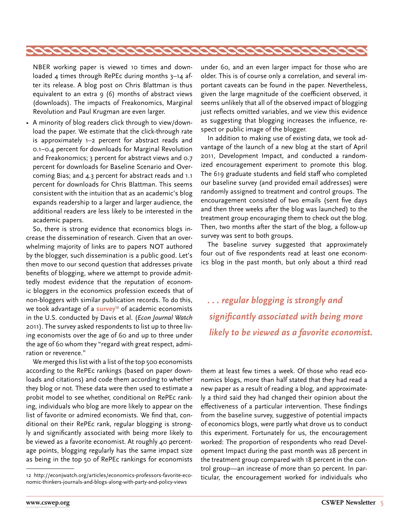

NBER working paper is viewed 10 times and downloaded 4 times through RePEc during months 3–14 after its release. A blog post on Chris Blattman is thus equivalent to an extra 9 (6) months of abstract views (downloads). The impacts of Freakonomics, Marginal Revolution and Paul Krugman are even larger.

• A minority of blog readers click through to view/download the paper. We estimate that the click-through rate is approximately 1–2 percent for abstract reads and 0.1–0.4 percent for downloads for Marginal Revolution and Freakonomics; 3 percent for abstract views and 0.7 percent for downloads for Baseline Scenario and Overcoming Bias; and 4.3 percent for abstract reads and 1.1 percent for downloads for Chris Blattman. This seems consistent with the intuition that as an academic's blog expands readership to a larger and larger audience, the additional readers are less likely to be interested in the academic papers.

So, there is strong evidence that economics blogs increase the dissemination of research. Given that an overwhelming majority of links are to papers NOT authored by the blogger, such dissemination is a public good. Let's then move to our second question that addresses private benefits of blogging, where we attempt to provide admittedly modest evidence that the reputation of economic bloggers in the economics profession exceeds that of non-bloggers with similar publication records. To do this, we took advantage of a **[survey](http://econjwatch.org/articles/economics-professors-favorite-economic-thinkers-journals-and-blogs-along-with-party-and-policy-views)**12 of academic economists in the U.S. conducted by Davis et al. (*Econ Journal Watch*  2011). The survey asked respondents to list up to three living economists over the age of 60 and up to three under the age of 60 whom they "regard with great respect, admiration or reverence."

We merged this list with a list of the top 500 economists according to the RePEc rankings (based on paper downloads and citations) and code them according to whether they blog or not. These data were then used to estimate a probit model to see whether, conditional on RePEc ranking, individuals who blog are more likely to appear on the list of favorite or admired economists. We find that, conditional on their RePEc rank, regular blogging is strongly and significantly associated with being more likely to be viewed as a favorite economist. At roughly 40 percentage points, blogging regularly has the same impact size as being in the top 50 of RePEc rankings for economists

under 60, and an even larger impact for those who are older. This is of course only a correlation, and several important caveats can be found in the paper. Nevertheless, given the large magnitude of the coefficient observed, it seems unlikely that all of the observed impact of blogging just reflects omitted variables, and we view this evidence as suggesting that blogging increases the influence, respect or public image of the blogger.

In addition to making use of existing data, we took advantage of the launch of a new blog at the start of April 2011, Development Impact, and conducted a randomized encouragement experiment to promote this blog. The 619 graduate students and field staff who completed our baseline survey (and provided email addresses) were randomly assigned to treatment and control groups. The encouragement consisted of two emails (sent five days and then three weeks after the blog was launched) to the treatment group encouraging them to check out the blog. Then, two months after the start of the blog, a follow-up survey was sent to both groups.

The baseline survey suggested that approximately four out of five respondents read at least one economics blog in the past month, but only about a third read

*. . . regular blogging is strongly and significantly associated with being more likely to be viewed as a favorite economist.*

them at least few times a week. Of those who read economics blogs, more than half stated that they had read a new paper as a result of reading a blog, and approximately a third said they had changed their opinion about the effectiveness of a particular intervention. These findings from the baseline survey, suggestive of potential impacts of economics blogs, were partly what drove us to conduct this experiment. Fortunately for us, the encouragement worked: The proportion of respondents who read Development Impact during the past month was 28 percent in the treatment group compared with 18 percent in the control group—an increase of more than 50 percent. In particular, the encouragement worked for individuals who

<sup>12</sup> http://econjwatch.org/articles/economics-professors-favorite-economic-thinkers-journals-and-blogs-along-with-party-and-policy-views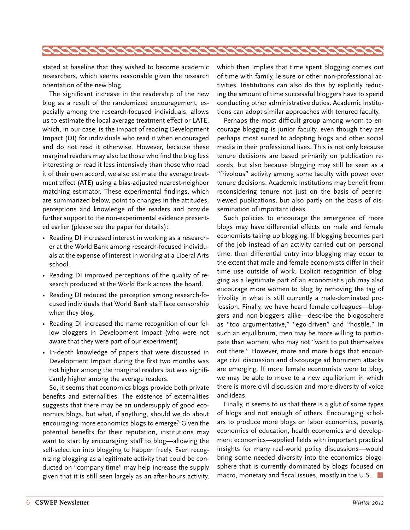

stated at baseline that they wished to become academic researchers, which seems reasonable given the research orientation of the new blog.

The significant increase in the readership of the new blog as a result of the randomized encouragement, especially among the research-focused individuals, allows us to estimate the local average treatment effect or LATE, which, in our case, is the impact of reading Development Impact (DI) for individuals who read it when encouraged and do not read it otherwise. However, because these marginal readers may also be those who find the blog less interesting or read it less intensively than those who read it of their own accord, we also estimate the average treatment effect (ATE) using a bias-adjusted nearest-neighbor matching estimator. These experimental findings, which are summarized below, point to changes in the attitudes, perceptions and knowledge of the readers and provide further support to the non-experimental evidence presented earlier (please see the paper for details):

- Reading DI increased interest in working as a researcher at the World Bank among research-focused individuals at the expense of interest in working at a Liberal Arts school.
- Reading DI improved perceptions of the quality of research produced at the World Bank across the board.
- Reading DI reduced the perception among research-focused individuals that World Bank staff face censorship when they blog.
- Reading DI increased the name recognition of our fellow bloggers in Development Impact (who were not aware that they were part of our experiment).
- In-depth knowledge of papers that were discussed in Development Impact during the first two months was not higher among the marginal readers but was significantly higher among the average readers.

So, it seems that economics blogs provide both private benefits and externalities. The existence of externalities suggests that there may be an undersupply of good economics blogs, but what, if anything, should we do about encouraging more economics blogs to emerge? Given the potential benefits for their reputation, institutions may want to start by encouraging staff to blog—allowing the self-selection into blogging to happen freely. Even recognizing blogging as a legitimate activity that could be conducted on "company time" may help increase the supply given that it is still seen largely as an after-hours activity,

which then implies that time spent blogging comes out of time with family, leisure or other non-professional activities. Institutions can also do this by explicitly reducing the amount of time successful bloggers have to spend conducting other administrative duties. Academic institutions can adopt similar approaches with tenured faculty.

Perhaps the most difficult group among whom to encourage blogging is junior faculty, even though they are perhaps most suited to adopting blogs and other social media in their professional lives. This is not only because tenure decisions are based primarily on publication records, but also because blogging may still be seen as a "frivolous" activity among some faculty with power over tenure decisions. Academic institutions may benefit from reconsidering tenure not just on the basis of peer-reviewed publications, but also partly on the basis of dissemination of important ideas.

Such policies to encourage the emergence of more blogs may have differential effects on male and female economists taking up blogging. If blogging becomes part of the job instead of an activity carried out on personal time, then differential entry into blogging may occur to the extent that male and female economists differ in their time use outside of work. Explicit recognition of blogging as a legitimate part of an economist's job may also encourage more women to blog by removing the tag of frivolity in what is still currently a male-dominated profession. Finally, we have heard female colleagues—bloggers and non-bloggers alike—describe the blogosphere as "too argumentative," "ego-driven" and "hostile." In such an equilibrium, men may be more willing to participate than women, who may not "want to put themselves out there." However, more and more blogs that encourage civil discussion and discourage ad hominem attacks are emerging. If more female economists were to blog, we may be able to move to a new equilibrium in which there is more civil discussion and more diversity of voice and ideas.

Finally, it seems to us that there is a glut of some types of blogs and not enough of others. Encouraging scholars to produce more blogs on labor economics, poverty, economics of education, health economics and development economics—applied fields with important practical insights for many real-world policy discussions—would bring some needed diversity into the economics blogosphere that is currently dominated by blogs focused on macro, monetary and fiscal issues, mostly in the U.S.  $\Box$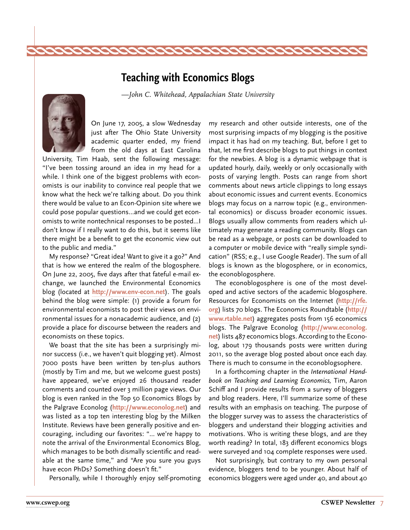## **Teaching with Economics Blogs**

*—John C. Whitehead, Appalachian State University*

<span id="page-6-0"></span>

On June 17, 2005, a slow Wednesday just after The Ohio State University academic quarter ended, my friend from the old days at East Carolina

University, Tim Haab, sent the following message: "I've been tossing around an idea in my head for a while. I think one of the biggest problems with economists is our inability to convince real people that we know what the heck we're talking about. Do you think there would be value to an Econ-Opinion site where we could pose popular questions…and we could get economists to write nontechnical responses to be posted…I don't know if I really want to do this, but it seems like there might be a benefit to get the economic view out to the public and media."

My response? "Great idea! Want to give it a go?" And that is how we entered the realm of the blogosphere. On June 22, 2005, five days after that fateful e-mail exchange, we launched the Environmental Economics blog (located at **<http://www.env-econ.net>**). The goals behind the blog were simple: (1) provide a forum for environmental economists to post their views on environmental issues for a nonacademic audience, and (2) provide a place for discourse between the readers and economists on these topics.

We boast that the site has been a surprisingly minor success (i.e., we haven't quit blogging yet). Almost 7000 posts have been written by ten-plus authors (mostly by Tim and me, but we welcome guest posts) have appeared, we've enjoyed 26 thousand reader comments and counted over 3 million page views. Our blog is even ranked in the Top 50 Economics Blogs by the Palgrave Econolog (**<http://www.econolog.net>**) and was listed as a top ten interesting blog by the Milken Institute. Reviews have been generally positive and encouraging, including our favorites: "... we're happy to note the arrival of the Environmental Economics Blog, which manages to be both dismally scientific and readable at the same time," and "Are you sure you guys have econ PhDs? Something doesn't fit."

Personally, while I thoroughly enjoy self-promoting

my research and other outside interests, one of the most surprising impacts of my blogging is the positive impact it has had on my teaching. But, before I get to that, let me first describe blogs to put things in context for the newbies. A blog is a dynamic webpage that is updated hourly, daily, weekly or only occasionally with posts of varying length. Posts can range from short comments about news article clippings to long essays about economic issues and current events. Economics blogs may focus on a narrow topic (e.g., environmental economics) or discuss broader economic issues. Blogs usually allow comments from readers which ultimately may generate a reading community. Blogs can be read as a webpage, or posts can be downloaded to a computer or mobile device with "really simple syndication" (RSS; e.g., I use Google Reader). The sum of all blogs is known as the blogosphere, or in economics, the econoblogosphere.

The econoblogosphere is one of the most developed and active sectors of the academic blogosphere. Resources for Economists on the Internet (**[http://rfe.](http://rfe.org) [org](http://rfe.org)**) lists 70 blogs. The Economics Roundtable (**[http://](http://www.rtable.net) [www.rtable.net](http://www.rtable.net)**) aggregates posts from 156 economics blogs. The Palgrave Econolog (**[http://www.econolog.](http://www.econolog.net) [net](http://www.econolog.net)**) lists 487 economics blogs. According to the Econolog, about 179 thousands posts were written during 2011, so the average blog posted about once each day. There is much to consume in the econoblogsophere.

In a forthcoming chapter in the *International Handbook on Teaching and Learning Economics,* Tim, Aaron Schiff and I provide results from a survey of bloggers and blog readers. Here, I'll summarize some of these results with an emphasis on teaching. The purpose of the blogger survey was to assess the characteristics of bloggers and understand their blogging activities and motivations. Who is writing these blogs, and are they worth reading? In total, 183 different economics blogs were surveyed and 104 complete responses were used.

Not surprisingly, but contrary to my own personal evidence, bloggers tend to be younger. About half of economics bloggers were aged under 40, and about 40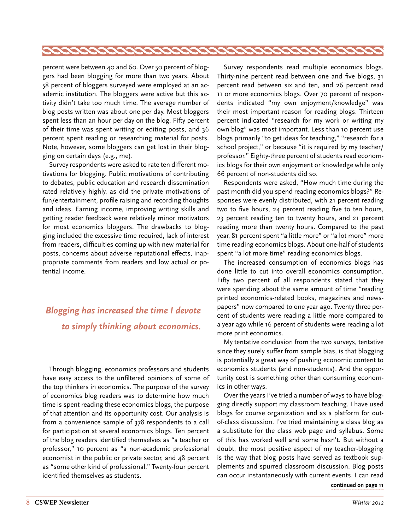<span id="page-7-0"></span>

percent were between 40 and 60. Over 50 percent of bloggers had been blogging for more than two years. About 58 percent of bloggers surveyed were employed at an academic institution. The bloggers were active but this activity didn't take too much time. The average number of blog posts written was about one per day. Most bloggers spent less than an hour per day on the blog. Fifty percent of their time was spent writing or editing posts, and 36 percent spent reading or researching material for posts. Note, however, some bloggers can get lost in their blogging on certain days (e.g., me).

Survey respondents were asked to rate ten different motivations for blogging. Public motivations of contributing to debates, public education and research dissemination rated relatively highly, as did the private motivations of fun/entertainment, profile raising and recording thoughts and ideas. Earning income, improving writing skills and getting reader feedback were relatively minor motivators for most economics bloggers. The drawbacks to blogging included the excessive time required, lack of interest from readers, difficulties coming up with new material for posts, concerns about adverse reputational effects, inappropriate comments from readers and low actual or potential income.

# *Blogging has increased the time I devote to simply thinking about economics.*

Through blogging, economics professors and students have easy access to the unfiltered opinions of some of the top thinkers in economics. The purpose of the survey of economics blog readers was to determine how much time is spent reading these economics blogs, the purpose of that attention and its opportunity cost. Our analysis is from a convenience sample of 378 respondents to a call for participation at several economics blogs. Ten percent of the blog readers identified themselves as "a teacher or professor," 10 percent as "a non-academic professional economist in the public or private sector, and 48 percent as "some other kind of professional." Twenty-four percent identified themselves as students.

Survey respondents read multiple economics blogs. Thirty-nine percent read between one and five blogs, 31 percent read between six and ten, and 26 percent read 11 or more economics blogs. Over 70 percent of respondents indicated "my own enjoyment/knowledge" was their most important reason for reading blogs. Thirteen percent indicated "research for my work or writing my own blog" was most important. Less than 10 percent use blogs primarily "to get ideas for teaching," "research for a school project," or because "it is required by my teacher/ professor." Eighty-three percent of students read economics blogs for their own enjoyment or knowledge while only 66 percent of non-students did so.

Respondents were asked, "How much time during the past month did you spend reading economics blogs?" Responses were evenly distributed, with 21 percent reading two to five hours, 24 percent reading five to ten hours, 23 percent reading ten to twenty hours, and 21 percent reading more than twenty hours. Compared to the past year, 81 percent spent "a little more" or "a lot more" more time reading economics blogs. About one-half of students spent "a lot more time" reading economics blogs.

The increased consumption of economics blogs has done little to cut into overall economics consumption. Fifty two percent of all respondents stated that they were spending about the same amount of time "reading printed economics-related books, magazines and newspapers" now compared to one year ago. Twenty three percent of students were reading a little more compared to a year ago while 16 percent of students were reading a lot more print economics.

My tentative conclusion from the two surveys, tentative since they surely suffer from sample bias, is that blogging is potentially a great way of pushing economic content to economics students (and non-students). And the opportunity cost is something other than consuming economics in other ways.

Over the years I've tried a number of ways to have blogging directly support my classroom teaching. I have used blogs for course organization and as a platform for outof-class discussion. I've tried maintaining a class blog as a substitute for the class web page and syllabus. Some of this has worked well and some hasn't. But without a doubt, the most positive aspect of my teacher-blogging is the way that blog posts have served as textbook supplements and spurred classroom discussion. Blog posts can occur instantaneously with current events. I can read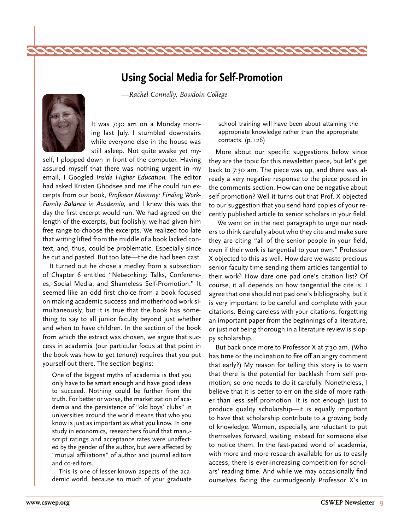## **Using Social Media for Self-Promotion**

*—Rachel Connelly, Bowdoin College*

<span id="page-8-0"></span>

It was 7:30 am on a Monday morning last July. I stumbled downstairs while everyone else in the house was still asleep. Not quite awake yet my-

self, I plopped down in front of the computer. Having assured myself that there was nothing urgent in my email, I Googled *Inside Higher Education.* The editor had asked Kristen Ghodsee and me if he could run excerpts from our book, *Professor Mommy: Finding Work-Family Balance in Academia,* and I knew this was the day the first excerpt would run. We had agreed on the length of the excerpts, but foolishly, we had given him free range to choose the excerpts. We realized too late that writing lifted from the middle of a book lacked context, and, thus, could be problematic. Especially since he cut and pasted. But too late—the die had been cast.

It turned out he chose a medley from a subsection of Chapter 6 entitled "Networking: Talks, Conferences, Social Media, and Shameless Self-Promotion." It seemed like an odd first choice from a book focused on making academic success and motherhood work simultaneously, but it is true that the book has something to say to all junior faculty beyond just whether and when to have children. In the section of the book from which the extract was chosen, we argue that success in academia (our particular focus at that point in the book was how to get tenure) requires that you put yourself out there. The section begins:

One of the biggest myths of academia is that you only have to be smart enough and have good ideas to succeed. Nothing could be further from the truth. For better or worse, the marketization of academia and the persistence of "old boys' clubs" in universities around the world means that who you know is just as important as what you know. In one study in economics, researchers found that manuscript ratings and acceptance rates were unaffected by the gender of the author, but were affected by "mutual affiliations" of author and journal editors and co-editors.

This is one of lesser-known aspects of the academic world, because so much of your graduate

school training will have been about attaining the appropriate knowledge rather than the appropriate contacts. (p. 126)

More about our specific suggestions below since they are the topic for this newsletter piece, but let's get back to 7:30 am. The piece was up, and there was already a very negative response to the piece posted in the comments section. How can one be negative about self promotion? Well it turns out that Prof. X objected to our suggestion that you send hard copies of your recently published article to senior scholars in your field.

 We went on in the next paragraph to urge our readers to think carefully about who they cite and make sure they are citing "all of the senior people in your field, even if their work is tangential to your own." Professor X objected to this as well. How dare we waste precious senior faculty time sending them articles tangential to their work? How dare one pad one's citation list? Of course, it all depends on how tangential the cite is. I agree that one should not pad one's bibliography, but it is very important to be careful and complete with your citations. Being careless with your citations, forgetting an important paper from the beginnings of a literature, or just not being thorough in a literature review is sloppy scholarship.

But back once more to Professor X at 7:30 am. (Who has time or the inclination to fire off an angry comment that early?) My reason for telling this story is to warn that there is the potential for backlash from self promotion, so one needs to do it carefully. Nonetheless, I believe that it is better to err on the side of more rather than less self promotion. It is not enough just to produce quality scholarship—it is equally important to have that scholarship contribute to a growing body of knowledge. Women, especially, are reluctant to put themselves forward, waiting instead for someone else to notice them. In the fast-paced world of academia, with more and more research available for us to easily access, there is ever-increasing competition for scholars' reading time. And while we may occasionally find ourselves facing the curmudgeonly Professor X's in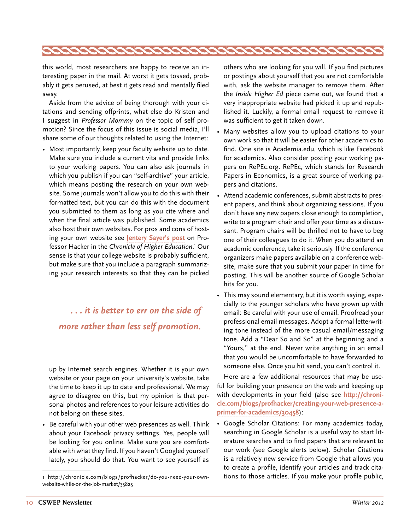

this world, most researchers are happy to receive an interesting paper in the mail. At worst it gets tossed, probably it gets perused, at best it gets read and mentally filed away.

Aside from the advice of being thorough with your citations and sending offprints, what else do Kristen and I suggest in *Professor Mommy* on the topic of self promotion? Since the focus of this issue is social media, I'll share some of our thoughts related to using the Internet:

• Most importantly, keep your faculty website up to date. Make sure you include a current vita and provide links to your working papers. You can also ask journals in which you publish if you can "self-archive" your article, which means posting the research on your own website. Some journals won't allow you to do this with their formatted text, but you can do this with the document you submitted to them as long as you cite where and when the final article was published. Some academics also host their own websites. For pros and cons of hosting your own website see **[Jentery Sayer's post](http://chronicle.com/blogs/profhacker/do-you-need-your-own-website-while-on-the-job-market/35825)** on Professor Hacker in the Chronicle of Higher Education.<sup>1</sup> Our sense is that your college website is probably sufficient, but make sure that you include a paragraph summarizing your research interests so that they can be picked

# *. . . it is better to err on the side of more rather than less self promotion.*

up by Internet search engines. Whether it is your own website or your page on your university's website, take the time to keep it up to date and professional. We may agree to disagree on this, but my opinion is that personal photos and references to your leisure activities do not belong on these sites.

Be careful with your other web presences as well. Think about your Facebook privacy settings. Yes, people will be looking for you online. Make sure you are comfortable with what they find. If you haven't Googled yourself lately, you should do that. You want to see yourself as

others who are looking for you will. If you find pictures or postings about yourself that you are not comfortable with, ask the website manager to remove them. After the *Inside Higher Ed* piece came out, we found that a very inappropriate website had picked it up and republished it. Luckily, a formal email request to remove it was sufficient to get it taken down.

- Many websites allow you to upload citations to your own work so that it will be easier for other academics to find. One site is Academia.edu, which is like Facebook for academics. Also consider posting your working papers on RePEc.org. RePEc, which stands for Research Papers in Economics, is a great source of working papers and citations.
- Attend academic conferences, submit abstracts to present papers, and think about organizing sessions. If you don't have any new papers close enough to completion, write to a program chair and offer your time as a discussant. Program chairs will be thrilled not to have to beg one of their colleagues to do it. When you do attend an academic conference, take it seriously. If the conference organizers make papers available on a conference website, make sure that you submit your paper in time for posting. This will be another source of Google Scholar hits for you.
- This may sound elementary, but it is worth saying, especially to the younger scholars who have grown up with email: Be careful with your use of email. Proofread your professional email messages. Adopt a formal letterwriting tone instead of the more casual email/messaging tone. Add a "Dear So and So" at the beginning and a "Yours," at the end. Never write anything in an email that you would be uncomfortable to have forwarded to someone else. Once you hit send, you can't control it.

Here are a few additional resources that may be useful for building your presence on the web and keeping up with developments in your field (also see **[http://chroni](http://chronicle.com/blogs/profhacker/creating-your-web-presence-a-primer-for-academics/30458)[cle.com/blogs/profhacker/creating-your-web-presence-a](http://chronicle.com/blogs/profhacker/creating-your-web-presence-a-primer-for-academics/30458)[primer-for-academics/30458](http://chronicle.com/blogs/profhacker/creating-your-web-presence-a-primer-for-academics/30458)**):

Google Scholar Citations: For many academics today, searching in Google Scholar is a useful way to start literature searches and to find papers that are relevant to our work (see Google alerts below). Scholar Citations is a relatively new service from Google that allows you to create a profile, identify your articles and track citations to those articles. If you make your profile public,

<sup>1</sup> http://chronicle.com/blogs/profhacker/do-you-need-your-ownwebsite-while-on-the-job-market/35825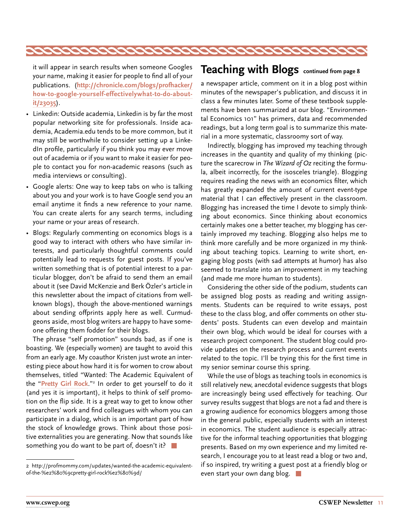<span id="page-10-0"></span>

it will appear in search results when someone Googles your name, making it easier for people to find all of your publications. (**[http://chronicle.com/blogs/profhacker/](http://chronicle.com/blogs/profhacker/how-to-google-yourself-effectivelywhat-to-do-about-it/23035)  [how-to-google-yourself-effectivelywhat-to-do-about](http://chronicle.com/blogs/profhacker/how-to-google-yourself-effectivelywhat-to-do-about-it/23035)[it/23035](http://chronicle.com/blogs/profhacker/how-to-google-yourself-effectivelywhat-to-do-about-it/23035)**).

- Linkedin: Outside academia, Linkedin is by far the most popular networking site for professionals. Inside academia, Academia.edu tends to be more common, but it may still be worthwhile to consider setting up a LinkedIn profile, particularly if you think you may ever move out of academia or if you want to make it easier for people to contact you for non-academic reasons (such as media interviews or consulting).
- Google alerts: One way to keep tabs on who is talking about you and your work is to have Google send you an email anytime it finds a new reference to your name. You can create alerts for any search terms, including your name or your areas of research.
- Blogs: Regularly commenting on economics blogs is a good way to interact with others who have similar interests, and particularly thoughtful comments could potentially lead to requests for guest posts. If you've written something that is of potential interest to a particular blogger, don't be afraid to send them an email about it (see David McKenzie and Berk Özler's article in this newsletter about the impact of citations from wellknown blogs), though the above-mentioned warnings about sending offprints apply here as well. Curmudgeons aside, most blog writers are happy to have someone offering them fodder for their blogs.

The phrase "self promotion" sounds bad, as if one is boasting. We (especially women) are taught to avoid this from an early age. My coauthor Kristen just wrote an interesting piece about how hard it is for women to crow about themselves, titled "Wanted: The Academic Equivalent of the "**[Pretty Girl Rock](http://profmommy.com/updates/wanted-the-academic-equivalent-of-the-%e2%80%9cpretty-girl-rock%e2%80%9d/)**."2 In order to get yourself to do it (and yes it is important), it helps to think of self promotion on the flip side. It is a great way to get to know other researchers' work and find colleagues with whom you can participate in a dialog, which is an important part of how the stock of knowledge grows. Think about those positive externalities you are generating. Now that sounds like something you do want to be part of, doesn't it?

## **Teaching with Blogs continued from [page 8](#page-7-0)**

a newspaper article, comment on it in a blog post within minutes of the newspaper's publication, and discuss it in class a few minutes later. Some of these textbook supplements have been summarized at our blog. "Environmental Economics 101" has primers, data and recommended readings, but a long term goal is to summarize this material in a more systematic, classroomy sort of way.

Indirectly, blogging has improved my teaching through increases in the quantity and quality of my thinking (picture the scarecrow in *The Wizard of Oz* reciting the formula, albeit incorrectly, for the isosceles triangle). Blogging requires reading the news with an economics filter, which has greatly expanded the amount of current event-type material that I can effectively present in the classroom. Blogging has increased the time I devote to simply thinking about economics. Since thinking about economics certainly makes one a better teacher, my blogging has certainly improved my teaching. Blogging also helps me to think more carefully and be more organized in my thinking about teaching topics. Learning to write short, engaging blog posts (with sad attempts at humor) has also seemed to translate into an improvement in my teaching (and made me more human to students).

Considering the other side of the podium, students can be assigned blog posts as reading and writing assignments. Students can be required to write essays, post these to the class blog, and offer comments on other students' posts. Students can even develop and maintain their own blog, which would be ideal for courses with a research project component. The student blog could provide updates on the research process and current events related to the topic. I'll be trying this for the first time in my senior seminar course this spring.

While the use of blogs as teaching tools in economics is still relatively new, anecdotal evidence suggests that blogs are increasingly being used effectively for teaching. Our survey results suggest that blogs are not a fad and there is a growing audience for economics bloggers among those in the general public, especially students with an interest in economics. The student audience is especially attractive for the informal teaching opportunities that blogging presents. Based on my own experience and my limited research, I encourage you to at least read a blog or two and, if so inspired, try writing a guest post at a friendly blog or even start your own dang blog.

<sup>2</sup> http://profmommy.com/updates/wanted-the-academic-equivalentof-the-%e2%80%9cpretty-girl-rock%e2%80%9d/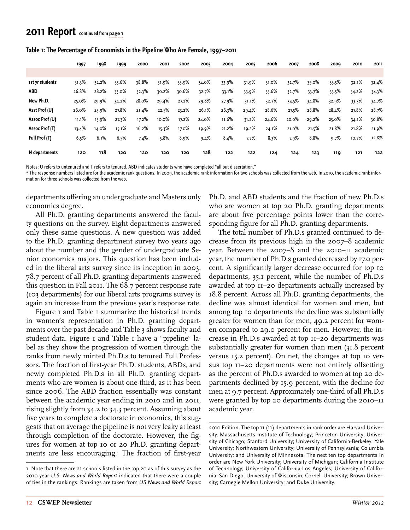## <span id="page-11-0"></span>**2011 Report continued from [page 1](#page-0-0)**

| Table 1: The Percentage of Economists in the Pipeline Who Are Female, 1997–2011 |  |
|---------------------------------------------------------------------------------|--|
|---------------------------------------------------------------------------------|--|

|                 | 1997  | 1998  | 1999  | 2000  | 2001  | 2002  | 2003  | 2004  | 2005  | 2006  | 2007  | 2008  | 2009  | 2010  | 2011  |
|-----------------|-------|-------|-------|-------|-------|-------|-------|-------|-------|-------|-------|-------|-------|-------|-------|
|                 |       |       |       |       |       |       |       |       |       |       |       |       |       |       |       |
| 1st yr students | 31.3% | 32.2% | 35.6% | 38.8% | 31.9% | 33.9% | 34.0% | 33.9% | 31.9% | 31.0% | 32.7% | 35.0% | 33.5% | 32.1% | 32.4% |
| <b>ABD</b>      | 26.8% | 28.2% | 33.0% | 32.3% | 30.2% | 30.6% | 32.7% | 33.1% | 33.9% | 33.6% | 32.7% | 33.7% | 33.5% | 34.2% | 34.3% |
| New Ph.D.       | 25.0% | 29.9% | 34.2% | 28.0% | 29.4% | 27.2% | 29.8% | 27.9% | 31.1% | 32.7% | 34.5% | 34.8% | 32.9% | 33.3% | 34.7% |
| Asst Prof (U)   | 26.0% | 25.9% | 27.8% | 21.4% | 22.5% | 23.2% | 26.1% | 26.3% | 29.4% | 28.6% | 27.5% | 28.8% | 28.4% | 27.8% | 28.7% |
| Assoc Prof (U)  | 11.1% | 15.9% | 27.3% | 17.2% | 10.0% | 17.2% | 24.0% | 11.6% | 31.2% | 24.6% | 20.0% | 29.2% | 25.0% | 34.1% | 30.8% |
| Assoc Prof (T)  | 13.4% | 14.0% | 15.1% | 16.2% | 15.3% | 17.0% | 19.9% | 21.2% | 19.2% | 24.1% | 21.0% | 21.5% | 21.8% | 21.8% | 21.9% |
| Full Prof (T)   | 6.5%  | 6.1%  | 6.5%  | 7.4%  | 5.8%  | 8.9%  | 9.4%  | 8.4%  | 7.7%  | 8.3%  | 7.9%  | 8.8%  | 9.7%  | 10.7% | 12.8% |
| N departments   | 120   | 118   | 120   | 120   | 120   | 120   | 128   | 122   | 122   | 124   | 124   | 123   | 119   | 121   | 122   |

Notes: U refers to untenured and T refers to tenured. ABD indicates students who have completed "all but dissertation."

\* The response numbers listed are for the academic rank questions. In 2009, the academic rank information for two schools was collected from the web. In 2010, the academic rank information for three schools was collected from the web.

departments offering an undergraduate and Masters only economics degree.

All Ph.D. granting departments answered the faculty questions on the survey. Eight departments answered only these same questions. A new question was added to the Ph.D. granting department survey two years ago about the number and the gender of undergraduate Senior economics majors. This question has been included in the liberal arts survey since its inception in 2003. 78.7 percent of all Ph.D. granting departments answered this question in Fall 2011. The 68.7 percent response rate (103 departments) for our liberal arts programs survey is again an increase from the previous year's response rate.

Figure 1 and Table 1 summarize the historical trends in women's representation in Ph.D. granting departments over the past decade and Table 3 shows faculty and student data. Figure I and Table I have a "pipeline" label as they show the progression of women through the ranks from newly minted Ph.D.s to tenured Full Professors. The fraction of first-year Ph.D. students, ABDs, and newly completed Ph.D.s in all Ph.D. granting departments who are women is about one-third, as it has been since 2006. The ABD fraction essentially was constant between the academic year ending in 2010 and in 2011, rising slightly from 34.2 to 34.3 percent. Assuming about five years to complete a doctorate in economics, this suggests that on average the pipeline is not very leaky at least through completion of the doctorate. However, the figures for women at top 10 or 20 Ph.D. granting departments are less encouraging.<sup>1</sup> The fraction of first-year Ph.D. and ABD students and the fraction of new Ph.D.s who are women at top 20 Ph.D. granting departments are about five percentage points lower than the corresponding figure for all Ph.D. granting departments.

The total number of Ph.D.s granted continued to decrease from its previous high in the 2007–8 academic year. Between the 2007–8 and the 2010–11 academic year, the number of Ph.D.s granted decreased by 17.0 percent. A significantly larger decrease occurred for top 10 departments, 35.1 percent, while the number of Ph.D.s awarded at top 11–20 departments actually increased by 18.8 percent. Across all Ph.D. granting departments, the decline was almost identical for women and men, but among top 10 departments the decline was substantially greater for women than for men, 49.2 percent for women compared to 29.0 percent for men. However, the increase in Ph.D.s awarded at top 11–20 departments was substantially greater for women than men (31.8 percent versus 15.2 percent). On net, the changes at top 10 versus top 11–20 departments were not entirely offsetting as the percent of Ph.D.s awarded to women at top 20 departments declined by 15.9 percent, with the decline for men at 9.7 percent. Approximately one-third of all Ph.D.s were granted by top 20 departments during the 2010–11 academic year.

<sup>1</sup> Note that there are 21 schools listed in the top 20 as of this survey as the 2010 year *U.S. News and World Report* indicated that there were a couple of ties in the rankings. Rankings are taken from *US News and World Report* 

<sup>2010</sup> Edition. The top 11 (11) departments in rank order are Harvard University, Massachusetts Institute of Technology; Princeton University; University of Chicago; Stanford University; University of California-Berkeley; Yale University; Northwestern University; University of Pennsylvania; Columbia University; and University of Minnesota. The next ten top departments in order are New York University; University of Michigan; California Institute of Technology; University of California-Los Angeles; University of California–San Diego; University of Wisconsin; Cornell University; Brown University; Carnegie Mellon University; and Duke University.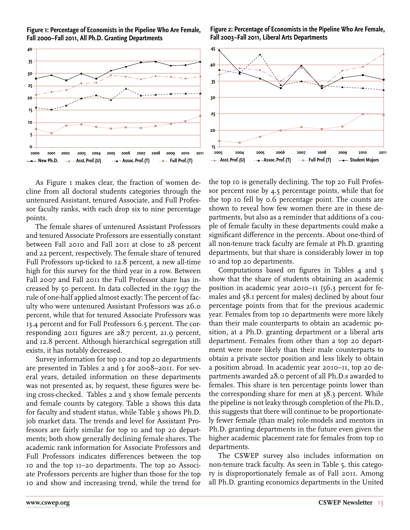As Figure I makes clear, the fraction of women decline from all doctoral students categories through the untenured Assistant, tenured Associate, and Full Professor faculty ranks, with each drop six to nine percentage points.

The female shares of untenured Assistant Professors and tenured Associate Professors are essentially constant between Fall 2010 and Fall 2011 at close to 28 percent and 22 percent, respectively. The female share of tenured Full Professors up-ticked to 12.8 percent, a new all-time high for this survey for the third year in a row. Between Fall 2007 and Fall 2011 the Full Professor share has increased by 50 percent. In data collected in the 1997 the rule of one-half applied almost exactly: The percent of faculty who were untenured Assistant Professors was 26.0 percent, while that for tenured Associate Professors was 13.4 percent and for Full Professors 6.5 percent. The corresponding 2011 figures are 28.7 percent, 21.9 percent, and 12.8 percent. Although hierarchical segregation still exists, it has notably decreased.

Survey information for top 10 and top 20 departments are presented in Tables 2 and 3 for 2008-2011. For several years, detailed information on these departments was not presented as, by request, these figures were being cross-checked. Tables 2 and 3 show female percents and female counts by category. Table 2 shows this data for faculty and student status, while Table 3 shows Ph.D. job market data. The trends and level for Assistant Professors are fairly similar for top 10 and top 20 departments; both show generally declining female shares. The academic rank information for Associate Professors and Full Professors indicates differences between the top 10 and the top 11–20 departments. The top 20 Associate Professors percents are higher than those for the top 10 and show and increasing trend, while the trend for

the top 10 is generally declining. The top 20 Full Professor percent rose by 4.5 percentage points, while that for the top 10 fell by 0.6 percentage point. The counts are shown to reveal how few women there are in these departments, but also as a reminder that additions of a couple of female faculty in these departments could make a significant difference in the percents. About one-third of all non-tenure track faculty are female at Ph.D. granting departments, but that share is considerably lower in top

10 and top 20 departments. Computations based on figures in Tables 4 and 5 show that the share of students obtaining an academic position in academic year 2010–11 (56.3 percent for females and 58.1 percent for males) declined by about four percentage points from that for the previous academic year. Females from top 10 departments were more likely than their male counterparts to obtain an academic position, at a Ph.D. granting department or a liberal arts department. Females from other than a top 20 department were more likely than their male counterparts to obtain a private sector position and less likely to obtain a position abroad. In academic year 2010–11, top 20 departments awarded 28.0 percent of all Ph.D.s awarded to females. This share is ten percentage points lower than the corresponding share for men at 38.3 percent. While the pipeline is not leaky through completion of the Ph.D., this suggests that there will continue to be proportionately fewer female (than male) role-models and mentors in Ph.D. granting departments in the future even given the

The CSWEP survey also includes information on non-tenure track faculty. As seen in Table 5, this category is disproportionately female as of Fall 2011. Among all Ph.D. granting economics departments in the United

higher academic placement rate for females from top 10

departments.

**Figure 1: Percentage of Economists in the Pipeline Who Are Female, Fall 2000–Fall 2011, All Ph.D. Granting Departments**





**Figure 2: Percentage of Economists in the Pipeline Who Are Female,** 

**Fall 2003–Fall 2011, Liberal Arts Departments**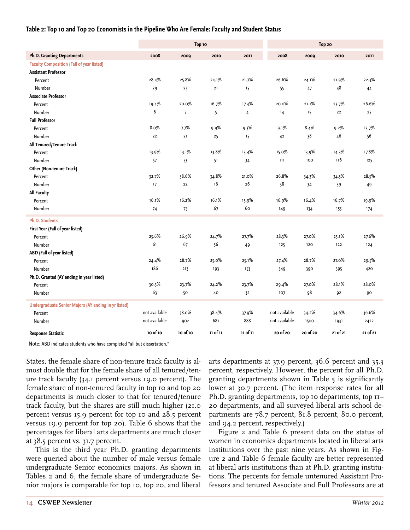#### **Table 2: Top 10 and Top 20 Economists in the Pipeline Who Are Female: Faculty and Student Status**

|                                                      |               |                | Top 10   |              |               |          | Top 20   |          |
|------------------------------------------------------|---------------|----------------|----------|--------------|---------------|----------|----------|----------|
| <b>Ph.D. Granting Departments</b>                    | 2008          | 2009           | 2010     | 2011         | 2008          | 2009     | 2010     | 2011     |
| <b>Faculty Composition (Fall of year listed)</b>     |               |                |          |              |               |          |          |          |
| <b>Assistant Professor</b>                           |               |                |          |              |               |          |          |          |
| Percent                                              | 28.4%         | 25.8%          | 24.1%    | 21.7%        | 26.6%         | 24.1%    | 21.9%    | 22.3%    |
| Number                                               | 29            | 25             | 21       | 15           | 55            | 47       | 48       | 44       |
| <b>Associate Professor</b>                           |               |                |          |              |               |          |          |          |
| Percent                                              | 19.4%         | 20.0%          | 16.7%    | 17.4%        | 20.0%         | 21.1%    | 23.7%    | 26.6%    |
| Number                                               | 6             | $\overline{7}$ | 5        | 4            | 14            | 15       | 22       | 25       |
| <b>Full Professor</b>                                |               |                |          |              |               |          |          |          |
| Percent                                              | 8.0%          | 7.7%           | 9.9%     | 9.3%         | 9.1%          | 8.4%     | 9.2%     | 13.7%    |
| Number                                               | 22            | 21             | 25       | 15           | 42            | 38       | 46       | 56       |
| All Tenured/Tenure Track                             |               |                |          |              |               |          |          |          |
| Percent                                              | 13.9%         | 13.1%          | 13.8%    | 13.4%        | 15.0%         | 13.9%    | 14.3%    | 17.8%    |
| Number                                               | 57            | 53             | 51       | 34           | 111           | 100      | 116      | 125      |
| Other (Non-tenure Track)                             |               |                |          |              |               |          |          |          |
| Percent                                              | 32.7%         | 38.6%          | 34.8%    | 21.0%        | 26.8%         | 34.3%    | 34.5%    | 28.5%    |
| Number                                               | 17            | 22             | 16       | 26           | 38            | 34       | 39       | 49       |
| <b>All Faculty</b>                                   |               |                |          |              |               |          |          |          |
| Percent                                              | 16.1%         | 16.2%          | 16.1%    | 15.9%        | 16.9%         | 16.4%    | 16.7%    | 19.9%    |
| Number                                               | 74            | 75             | 67       | 60           | 149           | 134      | 155      | 174      |
| <b>Ph.D. Students</b>                                |               |                |          |              |               |          |          |          |
| First Year (Fall of year listed)                     |               |                |          |              |               |          |          |          |
| Percent                                              | 25.6%         | 26.9%          | 24.7%    | 27.7%        | 28.3%         | 27.0%    | 25.1%    | 27.6%    |
| Number                                               | 61            | 67             | 56       | 49           | 125           | 120      | 122      | 124      |
| ABD (Fall of year listed)                            |               |                |          |              |               |          |          |          |
| Percent                                              | 24.4%         | 28.7%          | 25.0%    | 25.1%        | 27.4%         | 28.7%    | 27.0%    | 29.5%    |
| Number                                               | 186           | 213            | 193      | 153          | 349           | 390      | 395      | 420      |
| Ph.D. Granted (AY ending in year listed)             |               |                |          |              |               |          |          |          |
| Percent                                              | 30.3%         | 23.7%          | 24.2%    | 23.7%        | 29.4%         | 27.0%    | 28.1%    | 28.0%    |
| Number                                               | 63            | 50             | 40       | 32           | 107           | 98       | 92       | 90       |
| Undergraduate Senior Majors (AY ending in yr listed) |               |                |          |              |               |          |          |          |
| Percent                                              | not available | 38.0%          | 38.4%    | 37.9%        | not available | 34.2%    | 34.6%    | 36.6%    |
| Number                                               | not available | 902            | 681      | 888          | not available | 1500     | 1931     | 2422     |
| <b>Response Statistic</b>                            | 10 of 10      | 10 of 10       | 11 of 11 | $11$ of $11$ | 20 of 20      | 20 of 20 | 21 of 21 | 21 of 21 |

Note: ABD indicates students who have completed "all but dissertation."

States, the female share of non-tenure track faculty is almost double that for the female share of all tenured/tenure track faculty (34.1 percent versus 19.0 percent). The female share of non-tenured faculty in top 10 and top 20 departments is much closer to that for tenured/tenure track faculty, but the shares are still much higher (21.0 percent versus 15.9 percent for top 10 and 28.5 percent versus 19.9 percent for top 20). Table 6 shows that the percentages for liberal arts departments are much closer at 38.5 percent vs. 31.7 percent.

This is the third year Ph.D. granting departments were queried about the number of male versus female undergraduate Senior economics majors. As shown in Tables 2 and 6, the female share of undergraduate Senior majors is comparable for top 10, top 20, and liberal arts departments at 37.9 percent, 36.6 percent and 35.3 percent, respectively. However, the percent for all Ph.D. granting departments shown in Table 5 is significantly lower at 30.7 percent. (The item response rates for all Ph.D. granting departments, top 10 departments, top 11-20 departments, and all surveyed liberal arts school departments are 78.7 percent, 81.8 percent, 80.0 percent, and 94.2 percent, respectively.)

Figure 2 and Table 6 present data on the status of women in economics departments located in liberal arts institutions over the past nine years. As shown in Figure 2 and Table 6 female faculty are better represented at liberal arts institutions than at Ph.D. granting institutions. The percents for female untenured Assistant Professors and tenured Associate and Full Professors are at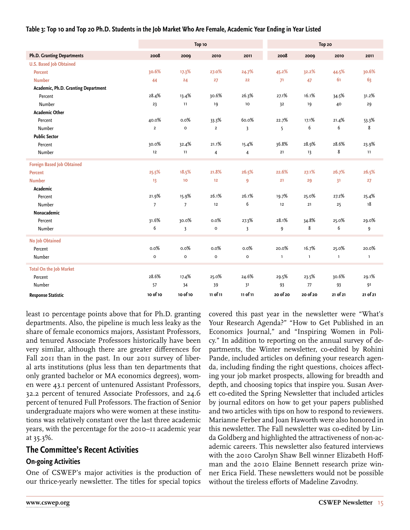#### **Table 3: Top 10 and Top 20 Ph.D. Students in the Job Market Who Are Female, Academic Year Ending in Year Listed**

|                                     |                     | Top 10              |                     |                         |              |              | Top <sub>20</sub> |              |
|-------------------------------------|---------------------|---------------------|---------------------|-------------------------|--------------|--------------|-------------------|--------------|
| <b>Ph.D. Granting Departments</b>   | 2008                | 2009                | 2010                | 2011                    | 2008         | 2009         | 2010              | 2011         |
| <b>U.S. Based Job Obtained</b>      |                     |                     |                     |                         |              |              |                   |              |
| <b>Percent</b>                      | 30.6%               | 17.3%               | 27.0%               | 24.7%                   | 45.2%        | 32.2%        | 44.5%             | 30.6%        |
| <b>Number</b>                       | 44                  | 24                  | 27                  | 22                      | 71           | 47           | 61                | 63           |
| Academic, Ph.D. Granting Department |                     |                     |                     |                         |              |              |                   |              |
| Percent                             | 28.4%               | 13.4%               | 30.6%               | 26.3%                   | 27.1%        | 16.1%        | 34.5%             | 31.2%        |
| Number                              | 23                  | 11                  | 19                  | $10$                    | 32           | 19           | 40                | 29           |
| <b>Academic Other</b>               |                     |                     |                     |                         |              |              |                   |              |
| Percent                             | 40.0%               | 0.0%                | 33.3%               | 60.0%                   | 22.7%        | 17.1%        | 21.4%             | 53.3%        |
| Number                              | $\overline{2}$      | $\mathsf{o}$        | $\overline{2}$      | $\mathbf{3}$            | 5            | 6            | 6                 | 8            |
| <b>Public Sector</b>                |                     |                     |                     |                         |              |              |                   |              |
| Percent                             | 30.0%               | 32.4%               | 21.1%               | 15.4%                   | 36.8%        | 28.9%        | 28.6%             | 23.9%        |
| Number                              | 12                  | 11                  | 4                   | $\overline{4}$          | 21           | 13           | 8                 | 11           |
| <b>Foreign Based Job Obtained</b>   |                     |                     |                     |                         |              |              |                   |              |
| <b>Percent</b>                      | 25.5%               | 18.5%               | 21.8%               | 26.5%                   | 22.6%        | 27.1%        | 26.7%             | 26.5%        |
| <b>Number</b>                       | 13                  | 10                  | $12$                | 9                       | 21           | 29           | 31                | 27           |
| Academic                            |                     |                     |                     |                         |              |              |                   |              |
| Percent                             | 21.9%               | 15.9%               | 26.1%               | 26.1%                   | 19.7%        | 25.0%        | 27.2%             | 25.4%        |
| Number                              | $\overline{7}$      | $\overline{7}$      | 12                  | 6                       | 12           | 21           | 25                | 18           |
| Nonacademic                         |                     |                     |                     |                         |              |              |                   |              |
| Percent                             | 31.6%               | 30.0%               | 0.0%                | 27.3%                   | 28.1%        | 34.8%        | 25.0%             | 29.0%        |
| Number                              | 6                   | $\overline{3}$      | $\mathsf{o}\xspace$ | $\overline{\mathbf{3}}$ | 9            | 8            | 6                 | 9            |
| <b>No Job Obtained</b>              |                     |                     |                     |                         |              |              |                   |              |
| Percent                             | 0.0%                | 0.0%                | 0.0%                | 0.0%                    | 20.0%        | 16.7%        | 25.0%             | 20.0%        |
| Number                              | $\mathsf{o}\xspace$ | $\mathsf{o}\xspace$ | $\mathsf{o}\xspace$ | $\mathsf{o}\xspace$     | $\mathbf{1}$ | $\mathbf{1}$ | $\mathbf{1}$      | $\mathbf{I}$ |
| <b>Total On the Job Market</b>      |                     |                     |                     |                         |              |              |                   |              |
| Percent                             | 28.6%               | 17.4%               | 25.0%               | 24.6%                   | 29.5%        | 23.5%        | 30.6%             | 29.1%        |
| Number                              | 57                  | 34                  | 39                  | 31                      | 93           | 77           | 93                | 91           |
| <b>Response Statistic</b>           | 10 of 10            | 10 of 10            | $11$ of $11$        | $11$ of $11$            | 20 of 20     | 20 of 20     | 21 of 21          | 21 of 21     |

least 10 percentage points above that for Ph.D. granting departments. Also, the pipeline is much less leaky as the share of female economics majors, Assistant Professors, and tenured Associate Professors historically have been very similar, although there are greater differences for Fall 2011 than in the past. In our 2011 survey of liberal arts institutions (plus less than ten departments that only granted bachelor or MA economics degrees), women were 43.1 percent of untenured Assistant Professors, 32.2 percent of tenured Associate Professors, and 24.6 percent of tenured Full Professors. The fraction of Senior undergraduate majors who were women at these institutions was relatively constant over the last three academic years, with the percentage for the 2010–11 academic year at 35.3%.

### **The Committee's Recent Activities**

#### **On-going Activities**

One of CSWEP's major activities is the production of our thrice-yearly newsletter. The titles for special topics

covered this past year in the newsletter were "What's Your Research Agenda?" "How to Get Published in an Economics Journal," and "Inspiring Women in Policy." In addition to reporting on the annual survey of departments, the Winter newsletter, co-edited by Rohini Pande, included articles on defining your research agenda, including finding the right questions, choices affecting your job market prospects, allowing for breadth and depth, and choosing topics that inspire you. Susan Averett co-edited the Spring Newsletter that included articles by journal editors on how to get your papers published and two articles with tips on how to respond to reviewers. Marianne Ferber and Joan Haworth were also honored in this newsletter. The Fall newsletter was co-edited by Linda Goldberg and highlighted the attractiveness of non-academic careers. This newsletter also featured interviews with the 2010 Carolyn Shaw Bell winner Elizabeth Hoffman and the 2010 Elaine Bennett research prize winner Erica Field. These newsletters would not be possible without the tireless efforts of Madeline Zavodny.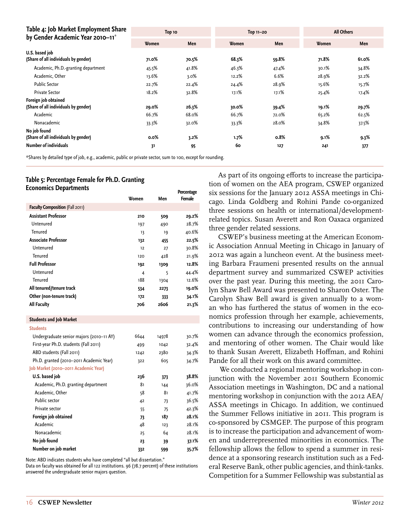| Table 4: Job Market Employment Share                         | Top 10 |         | Top 11-20 |       | <b>All Others</b> |       |  |
|--------------------------------------------------------------|--------|---------|-----------|-------|-------------------|-------|--|
| by Gender Academic Year 2010-11*                             | Women  | Men     | Women     | Men   | Women             | Men   |  |
| U.S. based job<br>(Share of all individuals by gender)       | 71.0%  | 70.5%   | 68.3%     | 59.8% | 71.8%             | 61.0% |  |
| Academic, Ph.D.-granting department                          | 45.5%  | 41.8%   | 46.3%     | 47.4% | 30.1%             | 34.8% |  |
| Academic, Other                                              | 13.6%  | $3.0\%$ | 12.2%     | 6.6%  | 28.9%             | 32.2% |  |
| <b>Public Sector</b>                                         | 22.7%  | 22.4%   | 24.4%     | 28.9% | 15.6%             | 15.7% |  |
| <b>Private Sector</b>                                        | 18.2%  | 32.8%   | 17.1%     | 17.1% | 25.4%             | 17.4% |  |
| Foreign job obtained<br>(Share of all individuals by gender) | 29.0%  | 26.3%   | 30.0%     | 39.4% | 19.1%             | 29.7% |  |
| Academic                                                     | 66.7%  | 68.0%   | 66.7%     | 72.0% | 65.2%             | 62.5% |  |
| Nonacademic                                                  | 33.3%  | 32.0%   | 33.3%     | 28.0% | 34.8%             | 37.5% |  |
| No job found<br>(Share of all individuals by gender)         | 0.0%   | 3.2%    | 1.7%      | 0.8%  | 9.1%              | 9.3%  |  |
| <b>Number of individuals</b>                                 | 31     | 95      | 60        | 127   | 241               | 377   |  |

\*Shares by detailed type of job, e.g., academic, public or private sector, sum to 100, except for rounding.

#### **Table 5: Percentage Female for Ph.D. Granting Economics Departments**

|                                          |       |       | Percentage |
|------------------------------------------|-------|-------|------------|
|                                          | Women | Men   | Female     |
| Faculty Composition (Fall 2011)          |       |       |            |
| <b>Assistant Professor</b>               | 210   | 509   | 29.2%      |
| Untenured                                | 197   | 490   | 28.7%      |
| Tenured                                  | 13    | 19    | 40.6%      |
| <b>Associate Professor</b>               | 132   | 455   | 22.5%      |
| Untenured                                | 12    | 27    | 30.8%      |
| Tenured                                  | 120   | 428   | 21.9%      |
| <b>Full Professor</b>                    | 192   | 1309  | 12.8%      |
| Untenured                                | 4     | 5     | 44.4%      |
| Tenured                                  | 188   | 1304  | 12.6%      |
| All tenured/tenure track                 | 534   | 2273  | 19.0%      |
| Other (non-tenure track)                 | 172   | 333   | 34.1%      |
| <b>All Faculty</b>                       | 706   | 2606  | 21.3%      |
|                                          |       |       |            |
| <b>Students and Job Market</b>           |       |       |            |
| <b>Students</b>                          |       |       |            |
| Undergraduate senior majors (2010-11 AY) | 6644  | 14978 | 30.7%      |
| First-year Ph.D. students (Fall 2011)    | 499   | 1042  | 32.4%      |
| ABD students (Fall 2011)                 | 1242  | 2380  | 34.3%      |
| Ph.D. granted (2010-2011 Academic Year)  | 322   | 605   | 34.7%      |
| Job Market (2010-2011 Academic Year)     |       |       |            |
| U.S. based job                           | 236   | 373   | 38.8%      |
| Academic, Ph.D. granting department      | 81    | 144   | 36.0%      |
| Academic, Other                          | 58    | 81    | 41.7%      |
| <b>Public sector</b>                     | 42    | 73    | 36.5%      |
| Private sector                           | 55    | 75    | 42.3%      |
| Foreign job obtained                     | 73    | 187   | 28.1%      |
| Academic                                 | 48    | 123   | 28.1%      |
| Nonacademic                              | 25    | 64    | 28.1%      |
| No job found                             | 23    | 39    | 37.1%      |
| Number on job market                     | 332   | 599   | 35.7%      |

Note: ABD indicates students who have completed "all but dissertation."

Data on faculty was obtained for all 122 institutions. 96 (78.7 percent) of these institutions answered the undergraduate senior majors question.

As part of its ongoing efforts to increase the participation of women on the AEA program, CSWEP organized six sessions for the January 2012 ASSA meetings in Chicago. Linda Goldberg and Rohini Pande co-organized three sessions on health or international/developmentrelated topics. Susan Averett and Ron Oaxaca organized three gender related sessions.

CSWEP's business meeting at the American Economic Association Annual Meeting in Chicago in January of 2012 was again a luncheon event. At the business meeting Barbara Fraumeni presented results on the annual department survey and summarized CSWEP activities over the past year. During this meeting, the 2011 Carolyn Shaw Bell Award was presented to Sharon Oster. The Carolyn Shaw Bell award is given annually to a woman who has furthered the status of women in the economics profession through her example, achievements, contributions to increasing our understanding of how women can advance through the economics profession, and mentoring of other women. The Chair would like to thank Susan Averett, Elizabeth Hoffman, and Rohini Pande for all their work on this award committee.

 We conducted a regional mentoring workshop in conjunction with the November 2011 Southern Economic Association meetings in Washington, DC and a national mentoring workshop in conjunction with the 2012 AEA/ ASSA meetings in Chicago. In addition, we continued the Summer Fellows initiative in 2011. This program is co-sponsored by CSMGEP. The purpose of this program is to increase the participation and advancement of women and underrepresented minorities in economics. The fellowship allows the fellow to spend a summer in residence at a sponsoring research institution such as a Federal Reserve Bank, other public agencies, and think-tanks. Competition for a Summer Fellowship was substantial as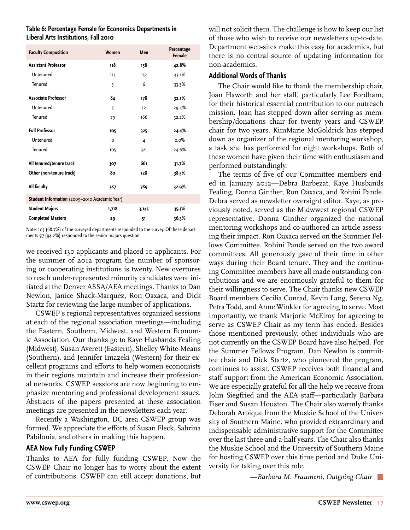| Table 6: Percentage Female for Economics Departments in |  |
|---------------------------------------------------------|--|
| Liberal Arts Institutions, Fall 2010                    |  |

| <b>Faculty Composition</b>                    | Women   | Men   | Percentage<br>Female |
|-----------------------------------------------|---------|-------|----------------------|
| <b>Assistant Professor</b>                    | 118     | 158   | 42.8%                |
| Untenured                                     | 115     | 152   | 43.1%                |
| Tenured                                       | 3       | 6     | 33.3%                |
| <b>Associate Professor</b>                    | 84      | 178   | 32.1%                |
| Untenured                                     | 5       | 12    | 29.4%                |
| Tenured                                       | 79      | 166   | 32.2%                |
| <b>Full Professor</b>                         | 105     | 325   | 24.4%                |
| Untenured                                     | $\circ$ | 4     | $0.0\%$              |
| Tenured                                       | 105     | 321   | 24.6%                |
| All tenured/tenure track                      | 307     | 661   | 31.7%                |
| Other (non-tenure track)                      | 80      | 128   | 38.5%                |
| All faculty                                   | 387     | 789   | 32.9%                |
| Student Information (2009-2010 Academic Year) |         |       |                      |
| <b>Student Majors</b>                         | 1,718   | 3,145 | 35.3%                |
| <b>Completed Masters</b>                      | 29      | 51    | 36.3%                |

Note: 103 (68.7%) of the surveyed departments responded to the survey. Of these departments 97 (94.2%) responded to the senior majors question.

we received 130 applicants and placed 10 applicants. For the summer of 2012 program the number of sponsoring or cooperating institutions is twenty. New overtures to reach under-represented minority candidates were initiated at the Denver ASSA/AEA meetings. Thanks to Dan Newlon, Janice Shack-Marquez, Ron Oaxaca, and Dick Startz for reviewing the large number of applications.

CSWEP's regional representatives organized sessions at each of the regional association meetings—including the Eastern, Southern, Midwest, and Western Economic Association. Our thanks go to Kaye Husbands Fealing (Midwest), Susan Averett (Eastern), Shelley White-Means (Southern), and Jennifer Imazeki (Western) for their excellent programs and efforts to help women economists in their regions maintain and increase their professional networks. CSWEP sessions are now beginning to emphasize mentoring and professional development issues. Abstracts of the papers presented at these association meetings are presented in the newsletters each year.

Recently a Washington, DC area CSWEP group was formed. We appreciate the efforts of Susan Fleck, Sabrina Pabilonia, and others in making this happen.

#### **AEA Now Fully Funding CSWEP**

Thanks to AEA for fully funding CSWEP. Now the CSWEP Chair no longer has to worry about the extent of contributions. CSWEP can still accept donations, but will not solicit them. The challenge is how to keep our list of those who wish to receive our newsletters up-to-date. Department web-sites make this easy for academics, but there is no central source of updating information for non-academics.

#### **Additional Words of Thanks**

The Chair would like to thank the membership chair, Joan Haworth and her staff, particularly Lee Fordham, for their historical essential contribution to our outreach mission. Joan has stepped down after serving as membership/donations chair for twenty years and CSWEP chair for two years. KimMarie McGoldrick has stepped down as organizer of the regional mentoring workshop, a task she has performed for eight workshops. Both of these women have given their time with enthusiasm and performed outstandingly.

The terms of five of our Committee members ended in January 2012—Debra Barbezat, Kaye Husbands Fealing, Donna Ginther, Ron Oaxaca, and Rohini Pande. Debra served as newsletter oversight editor. Kaye, as previously noted, served as the Midwwest regional CSWEP representative. Donna Ginther organized the national mentoring workshops and co-authored an article assessing their impact. Ron Oaxaca served on the Summer Fellows Committee. Rohini Pande served on the two award committees. All generously gave of their time in other ways during their Board tenure. They and the continuing Committee members have all made outstanding contributions and we are enormously grateful to them for their willingness to serve. The Chair thanks new CSWEP Board members Cecilia Conrad, Kevin Lang, Serena Ng, Petra Todd, and Anne Winkler for agreeing to serve. Most importantly, we thank Marjorie McElroy for agreeing to serve as CSWEP Chair as my term has ended. Besides those mentioned previously, other individuals who are not currently on the CSWEP Board have also helped. For the Summer Fellows Program, Dan Newlon is committee chair and Dick Startz, who pioneered the program, continues to assist. CSWEP receives both financial and staff support from the American Economic Association. We are especially grateful for all the help we receive from John Siegfried and the AEA staff—particularly Barbara Fiser and Susan Houston. The Chair also warmly thanks Deborah Arbique from the Muskie School of the University of Southern Maine, who provided extraordinary and indispensable administrative support for the Committee over the last three-and-a-half years. The Chair also thanks the Muskie School and the University of Southern Maine for hosting CSWEP over this time period and Duke University for taking over this role.

*—Barbara M. Fraumeni, Outgoing Chair*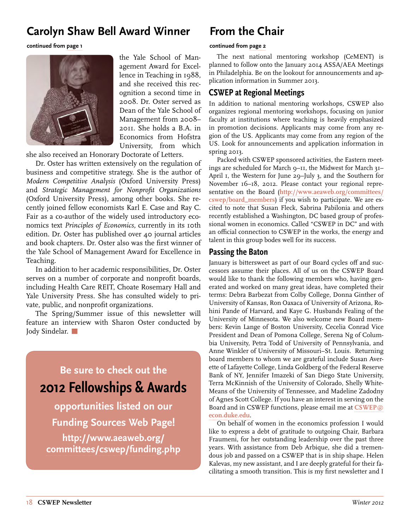# <span id="page-17-0"></span>**Carolyn Shaw Bell Award Winner**

**continued from [page 1](#page-0-0)**



the Yale School of Management Award for Excellence in Teaching in 1988, and she received this recognition a second time in 2008. Dr. Oster served as Dean of the Yale School of Management from 2008– 2011. She holds a B.A. in Economics from Hofstra University, from which

she also received an Honorary Doctorate of Letters.

Dr. Oster has written extensively on the regulation of business and competitive strategy. She is the author of *Modern Competitive Analysis* (Oxford University Press) and *Strategic Management for Nonprofit Organizations*  (Oxford University Press), among other books. She recently joined fellow economists Karl E. Case and Ray C. Fair as a co-author of the widely used introductory economics text *Principles of Economics,* currently in its 10th edition. Dr. Oster has published over 40 journal articles and book chapters. Dr. Oster also was the first winner of the Yale School of Management Award for Excellence in Teaching.

In addition to her academic responsibilities, Dr. Oster serves on a number of corporate and nonprofit boards, including Health Care REIT, Choate Rosemary Hall and Yale University Press. She has consulted widely to private, public, and nonprofit organizations.

The Spring/Summer issue of this newsletter will feature an interview with Sharon Oster conducted by Jody Sindelar.

# **Be sure to check out the 2012 Fellowships & Awards opportunities listed on our Funding Sources Web Page! [http://www.aeaweb.org/](http://www.aeaweb.org/committees/cswep/funding.php)**

**[committees/cswep/funding.php](http://www.aeaweb.org/committees/cswep/funding.php)**

# **From the Chair**

#### **continued from [page 2](#page-1-0)**

The next national mentoring workshop (CeMENT) is planned to follow onto the January 2014 ASSA/AEA Meetings in Philadelphia. Be on the lookout for announcements and application information in Summer 2013.

## **CSWEP at Regional Meetings**

In addition to national mentoring workshops, CSWEP also organizes regional mentoring workshops, focusing on junior faculty at institutions where teaching is heavily emphasized in promotion decisions. Applicants may come from any region of the US. Applicants may come from any region of the US. Look for announcements and application information in spring 2013.

Packed with CSWEP sponsored activities, the Eastern meetings are scheduled for March 9–11, the Midwest for March 31– April I, the Western for June 29-July 3, and the Southern for November 16–18, 2012. Please contact your regional representative on the Board (**[http://www.aeaweb.org/committees/](http://www.aeaweb.org/committees/cswep/board_members) [cswep/board\\_members](http://www.aeaweb.org/committees/cswep/board_members)**) if you wish to participate. We are excited to note that Susan Fleck, Sabrina Pabilonia and others recently established a Washington, DC based group of professional women in economics. Called "CSWEP in DC" and with an official connection to CSWEP in the works, the energy and talent in this group bodes well for its success.

#### **Passing the Baton**

January is bittersweet as part of our Board cycles off and successors assume their places. All of us on the CSWEP Board would like to thank the following members who, having generated and worked on many great ideas, have completed their terms: Debra Barbezat from Colby College, Donna Ginther of University of Kansas, Ron Oaxaca of University of Arizona, Rohini Pande of Harvard, and Kaye G. Husbands Fealing of the University of Minnesota. We also welcome new Board members: Kevin Lange of Boston University, Cecelia Conrad Vice President and Dean of Pomona College, Serena Ng of Columbia University, Petra Todd of University of Pennsylvania, and Anne Winkler of University of Missouri–St. Louis. Returning board members to whom we are grateful include Susan Averette of Lafayette College, Linda Goldberg of the Federal Reserve Bank of NY, Jennifer Imazeki of San Diego State University, Terra McKinnish of the University of Colorado, Shelly White-Means of the University of Tennessee, and Madeline Zadodny of Agnes Scott College. If you have an interest in serving on the Board and in CSWEP functions, please email me at **[CSWEP@](mailto:CSWEP%40econ.duke.edu?subject=) [econ.duke.edu](mailto:CSWEP%40econ.duke.edu?subject=)**.

On behalf of women in the economics profession I would like to express a debt of gratitude to outgoing Chair, Barbara Fraumeni, for her outstanding leadership over the past three years. With assistance from Deb Arbique, she did a tremendous job and passed on a CSWEP that is in ship shape. Helen Kalevas, my new assistant, and I are deeply grateful for their facilitating a smooth transition. This is my first newsletter and I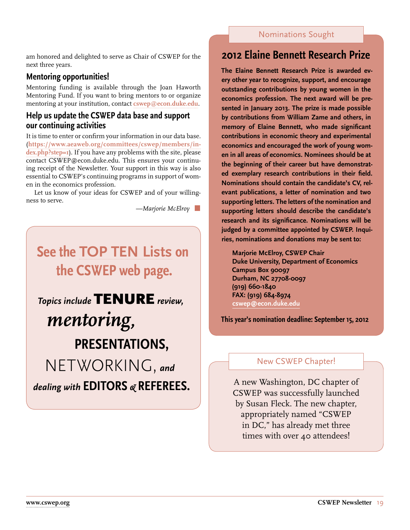### Nominations Sought

am honored and delighted to serve as Chair of CSWEP for the next three years.

#### **Mentoring opportunities!**

Mentoring funding is available through the Joan Haworth Mentoring Fund. If you want to bring mentors to or organize mentoring at your institution, contact **[cswep@econ.duke.edu](mailto:CSWEP%40econ.duke.edu?subject=)**.

### **Help us update the CSWEP data base and support our continuing activities**

It is time to enter or confirm your information in our data base. (**[https://www.aeaweb.org/committees/cswep/members/in](https://www.aeaweb.org/committees/cswep/members/index.php?step=1)[dex.php?step=1](https://www.aeaweb.org/committees/cswep/members/index.php?step=1)**). If you have any problems with the site, please contact CSWEP@econ.duke.edu. This ensures your continuing receipt of the Newsletter. Your support in this way is also essential to CSWEP's continuing programs in support of women in the economics profession.

Let us know of your ideas for CSWEP and of your willingness to serve.

*—Marjorie McElroy*

# **See the [TOP TEN Lists](http://www.aeaweb.org/committees/cswep/TopTenLists.php) on the CSWEP web page.**



# **2012 Elaine Bennett Research Prize**

**The Elaine Bennett Research Prize is awarded every other year to recognize, support, and encourage outstanding contributions by young women in the economics profession. The next award will be presented in January 2013. The prize is made possible by contributions from William Zame and others, in memory of Elaine Bennett, who made significant contributions in economic theory and experimental economics and encouraged the work of young women in all areas of economics. Nominees should be at the beginning of their career but have demonstrated exemplary research contributions in their field. Nominations should contain the candidate's CV, relevant publications, a letter of nomination and two supporting letters. The letters of the nomination and supporting letters should describe the candidate's research and its significance. Nominations will be judged by a committee appointed by CSWEP. Inquiries, nominations and donations may be sent to:**

**Marjorie McElroy, CSWEP Chair Duke University, Department of Economics Campus Box 90097 Durham, NC 27708-0097 (919) 660-1840 FAX: (919) 684-8974 [cswep@econ.duke.edu](mailto:cswep%40econ.duke.edu?subject=)**

**This year's nomination deadline: September 15, 2012**

#### New CSWEP Chapter!

A new Washington, DC chapter of CSWEP was successfully launched by Susan Fleck. The new chapter, appropriately named "CSWEP in DC," has already met three times with over 40 attendees!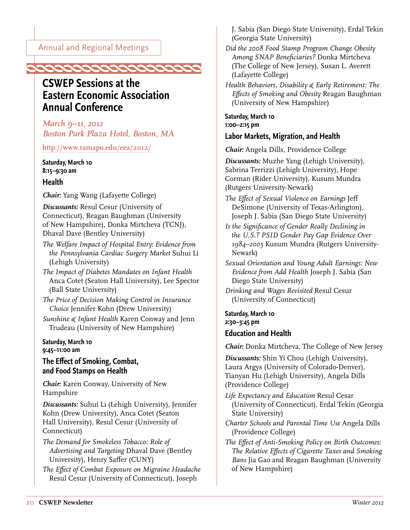# <span id="page-19-0"></span>**CSWEP Sessions at the Eastern Economic Association Annual Conference**

222

*March 9–11, 2012 Boston Park Plaza Hotel, Boston, MA*

**<http://www.ramapo.edu/eea/2012/>**

**Saturday, March 10 8:15–9:30 am**

#### **Health**

*Chair:* Yang Wang (Lafayette College)

*Discussants:* Resul Cesur (University of Connecticut), Reagan Baughman (University of New Hampshire), Donka Mirtcheva (TCNJ), Dhaval Dave (Bentley University)

*The Welfare Impact of Hospital Entry: Evidence from the Pennsylvania Cardiac Surgery Market* Suhui Li (Lehigh University)

*The Impact of Diabetes Mandates on Infant Health*  Anca Cotet (Seaton Hall University), Lee Spector (Ball State University)

*The Price of Decision Making Control in Insurance Choice* Jennifer Kohn (Drew University)

*Sunshine & Infant Health* Karen Conway and Jenn Trudeau (University of New Hampshire)

#### **Saturday, March 10 9:45–11:00 am**

#### **The Effect of Smoking, Combat, and Food Stamps on Health**

*Chair:* Karen Conway, University of New Hampshire

*Discussants:* Suhui Li (Lehigh University), Jennifer Kohn (Drew University), Anca Cotet (Seaton Hall University), Resul Cesur (University of Connecticut)

*The Demand for Smokeless Tobacco: Role of Advertising and Targeting* Dhaval Dave (Bentley University), Henry Saffer (CUNY)

*The Effect of Combat Exposure on Migraine Headache*  Resul Cesur (University of Connecticut), Joseph

J. Sabia (San Diego State University), Erdal Tekin (Georgia State University)

*Did the 2008 Food Stamp Program Change Obesity Among SNAP Beneficiaries?* Donka Mirtcheva (The College of New Jersey), Susan L. Averett (Lafayette College)

*Health Behaviors, Disability & Early Retirement: The Effects of Smoking and Obesity* Reagan Baughman (University of New Hampshire)

#### **Saturday, March 10 1:00–2:15 pm**

#### **Labor Markets, Migration, and Health**

*Chair:* Angela Dills, Providence College

*Discussants:* Muzhe Yang (Lehigh University), Sabrina Terrizzi (Lehigh University), Hope Corman (Rider University), Kusum Mundra (Rutgers University-Newark)

*The Effect of Sexual Violence on Earnings* Jeff DeSimone (University of Texas-Arlington), Joseph J. Sabia (San Diego State University)

*Is the Significance of Gender Really Declining in the U.S.? PSID Gender Pay Gap Evidence Over 1984–2005* Kusum Mundra (Rutgers University-Newark)

*Sexual Orientation and Young Adult Earnings: New Evidence from Add Health* Joseph J. Sabia (San Diego State University)

## **Saturday, March 10 2:30–3:45 pm**

#### **Education and Health**

*Chair:* Donka Mirtcheva, The College of New Jersey

*Discussants:* Shin Yi Chou (Lehigh University), Laura Argys (University of Colorado-Denver), Tianyan Hu (Lehigh University), Angela Dills (Providence College)

*Life Expectancy and Education* Resul Cesar (University of Connecticut), Erdal Tekin (Georgia State University)

*Charter Schools and Parental Time Use* Angela Dills (Providence College)

*The Effect of Anti-Smoking Policy on Birth Outcomes: The Relative Effects of Cigarette Taxes and Smoking Bans* Jia Gao and Reagan Baughman (University of New Hampshire)

*Drinking and Wages Revisited* Resul Cesur (University of Connecticut)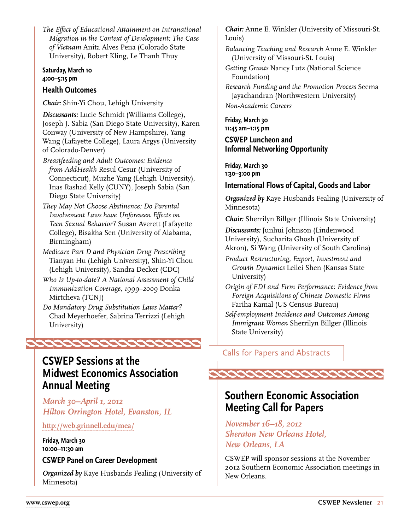*The Effect of Educational Attainment on Intranational Migration in the Context of Development: The Case of Vietnam* Anita Alves Pena (Colorado State University), Robert Kling, Le Thanh Thuy

**Saturday, March 10 4:00–5:15 pm**

#### **Health Outcomes**

*Chair:* Shin-Yi Chou, Lehigh University

*Discussants:* Lucie Schmidt (Williams College), Joseph J. Sabia (San Diego State University), Karen Conway (University of New Hampshire), Yang Wang (Lafayette College), Laura Argys (University of Colorado-Denver)

- *Breastfeeding and Adult Outcomes: Evidence from AddHealth* Resul Cesur (University of Connecticut), Muzhe Yang (Lehigh University), Inas Rashad Kelly (CUNY), Joseph Sabia (San Diego State University)
- *They May Not Choose Abstinence: Do Parental Involvement Laws have Unforeseen Effects on Teen Sexual Behavior?* Susan Averett (Lafayette College), Bisakha Sen (University of Alabama, Birmingham)
- *Medicare Part D and Physician Drug Prescribing*  Tianyan Hu (Lehigh University), Shin-Yi Chou (Lehigh University), Sandra Decker (CDC)
- *Who Is Up-to-date? A National Assessment of Child Immunization Coverage, 1999–2009* Donka Mirtcheva (TCNJ)
- *Do Mandatory Drug Substitution Laws Matter?*  Chad Meyerhoefer, Sabrina Terrizzi (Lehigh University)

# **CSWEP Sessions at the Midwest Economics Association Annual Meeting**

2222222

*March 30–April 1, 2012 Hilton Orrington Hotel, Evanston, IL*

**<http://web.grinnell.edu/mea/>**

**Friday, March 30 10:00–11:30 am**

### **CSWEP Panel on Career Development**

*Organized by* Kaye Husbands Fealing (University of Minnesota)

*Chair:* Anne E. Winkler (University of Missouri-St. Louis)

*Balancing Teaching and Research* Anne E. Winkler (University of Missouri-St. Louis)

*Getting Grants* Nancy Lutz (National Science Foundation)

*Research Funding and the Promotion Process* Seema Jayachandran (Northwestern University) *Non-Academic Careers*

**Friday, March 30 11:45 am–1:15 pm**

#### **CSWEP Luncheon and Informal Networking Opportunity**

**Friday, March 30 1:30–3:00 pm**

#### **International Flows of Capital, Goods and Labor**

*Organized by* Kaye Husbands Fealing (University of Minnesota)

*Chair:* Sherrilyn Billger (Illinois State University)

*Discussants:* Junhui Johnson (Lindenwood University), Sucharita Ghosh (University of Akron), Si Wang (University of South Carolina)

*Product Restructuring, Export, Investment and Growth Dynamics* Leilei Shen (Kansas State University)

*Origin of FDI and Firm Performance: Evidence from Foreign Acquisitions of Chinese Domestic Firms*  Fariha Kamal (US Census Bureau)

*Self-employment Incidence and Outcomes Among Immigrant Women* Sherrilyn Billger (Illinois State University)

Calls for Papers and Abstracts

# 000000

# **Southern Economic Association Meeting Call for Papers**

*November 16–18, 2012 Sheraton New Orleans Hotel, New Orleans, LA*

CSWEP will sponsor sessions at the November 2012 Southern Economic Association meetings in New Orleans.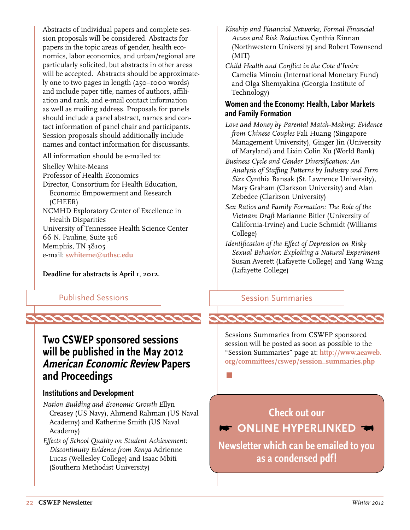Abstracts of individual papers and complete session proposals will be considered. Abstracts for papers in the topic areas of gender, health economics, labor economics, and urban/regional are particularly solicited, but abstracts in other areas will be accepted. Abstracts should be approximately one to two pages in length (250–1000 words) and include paper title, names of authors, affiliation and rank, and e-mail contact information as well as mailing address. Proposals for panels should include a panel abstract, names and contact information of panel chair and participants. Session proposals should additionally include names and contact information for discussants.

All information should be e-mailed to:

Shelley White-Means Professor of Health Economics Director, Consortium for Health Education, Economic Empowerment and Research (CHEER) NCMHD Exploratory Center of Excellence in Health Disparities University of Tennessee Health Science Center 66 N. Pauline, Suite 316 Memphis, TN 38105 e-mail: **[swhiteme@uthsc.edu](mailto:swhiteme%40uthsc.edu?subject=)**

**Deadline for abstracts is April 1, 2012.**

Published Sessions

# **Two CSWEP sponsored sessions will be published in the May 2012 American Economic Review Papers and Proceedings**

#### **Institutions and Development**

*Nation Building and Economic Growth* Ellyn Creasey (US Navy), Ahmend Rahman (US Naval Academy) and Katherine Smith (US Naval Academy)

*Effects of School Quality on Student Achievement: Discontinuity Evidence from Kenya* Adrienne Lucas (Wellesley College) and Isaac Mbiti (Southern Methodist University)

- *Kinship and Financial Networks, Formal Financial Access and Risk Reduction* Cynthia Kinnan (Northwestern University) and Robert Townsend (MIT)
- *Child Health and Conflict in the Cote d'Ivoire*  Camelia Minoiu (International Monetary Fund) and Olga Shemyakina (Georgia Institute of Technology)

### **Women and the Economy: Health, Labor Markets and Family Formation**

- *Love and Money by Parental Match-Making: Evidence from Chinese Couples* Fali Huang (Singapore Management University), Ginger Jin (University of Maryland) and Lixin Colin Xu (World Bank)
- *Business Cycle and Gender Diversification: An Analysis of Staffing Patterns by Industry and Firm Size* Cynthia Bansak (St. Lawrence University), Mary Graham (Clarkson University) and Alan Zebedee (Clarkson University)
- *Sex Ratios and Family Formation: The Role of the Vietnam Draft* Marianne Bitler (University of California-Irvine) and Lucie Schmidt (Williams College)
- *Identification of the Effect of Depression on Risky Sexual Behavior: Exploiting a Natural Experiment*  Susan Averett (Lafayette College) and Yang Wang (Lafayette College)

Session Summaries

Sessions Summaries from CSWEP sponsored session will be posted as soon as possible to the "Session Summaries" page at: **[http://www.aeaweb.](http://www.aeaweb.org/committees/cswep/session_summaries.php) [org/committees/cswep/session\\_summaries.php](http://www.aeaweb.org/committees/cswep/session_summaries.php)**

П

# **Check out our THE HYPERLINKED**

**Newsletter which can be emailed to you as a condensed pdf!**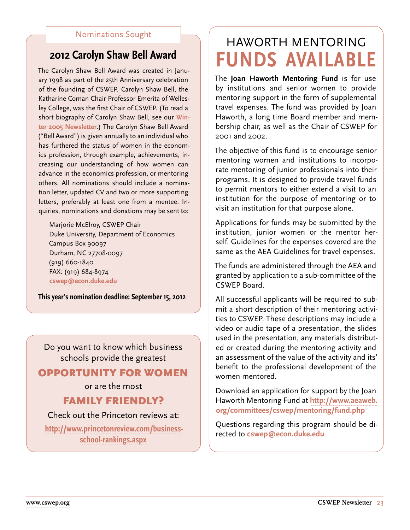### Nominations Sought

## **2012 Carolyn Shaw Bell Award**

The Carolyn Shaw Bell Award was created in January 1998 as part of the 25th Anniversary celebration of the founding of CSWEP. Carolyn Shaw Bell, the Katharine Coman Chair Professor Emerita of Wellesley College, was the first Chair of CSWEP. (To read a short biography of Carolyn Shaw Bell, see our **[Win](http://www.aeaweb.org/committees/cswep/newsletters.php)[ter 2005 Newsletter](http://www.aeaweb.org/committees/cswep/newsletters.php)**.) The Carolyn Shaw Bell Award ("Bell Award") is given annually to an individual who has furthered the status of women in the economics profession, through example, achievements, increasing our understanding of how women can advance in the economics profession, or mentoring others. All nominations should include a nomination letter, updated CV and two or more supporting letters, preferably at least one from a mentee. Inquiries, nominations and donations may be sent to:

Marjorie McElroy, CSWEP Chair Duke University, Department of Economics Campus Box 90097 Durham, NC 27708-0097 (919) 660-1840 FAX: (919) 684-8974 **[cswep@econ.duke.edu](mailto:cswep%40econ.duke.edu?subject=)**

**This year's nomination deadline: September 15, 2012**

Do you want to know which business schools provide the greatest

## opportunity for women

or are the most

## family friendly?

Check out the Princeton reviews at:

**[http://www.princetonreview.com/business](http://www.princetonreview.com/business-school-rankings.aspx)[school-rankings.aspx](http://www.princetonreview.com/business-school-rankings.aspx)**

# Haworth Mentoring **Funds Available**

The **Joan Haworth Mentoring Fund** is for use by institutions and senior women to provide mentoring support in the form of supplemental travel expenses. The fund was provided by Joan Haworth, a long time Board member and membership chair, as well as the Chair of CSWEP for 2001 and 2002.

The objective of this fund is to encourage senior mentoring women and institutions to incorporate mentoring of junior professionals into their programs. It is designed to provide travel funds to permit mentors to either extend a visit to an institution for the purpose of mentoring or to visit an institution for that purpose alone.

Applications for funds may be submitted by the institution, junior women or the mentor herself. Guidelines for the expenses covered are the same as the AEA Guidelines for travel expenses.

The funds are administered through the AEA and granted by application to a sub-committee of the CSWEP Board.

All successful applicants will be required to submit a short description of their mentoring activities to CSWEP. These descriptions may include a video or audio tape of a presentation, the slides used in the presentation, any materials distributed or created during the mentoring activity and an assessment of the value of the activity and its' benefit to the professional development of the women mentored.

Download an application for support by the Joan Haworth Mentoring Fund at **[http://www.aeaweb.](http://www.aeaweb.org/committees/cswep/mentoring/fund.php) [org/committees/cswep/mentoring/fund.php](http://www.aeaweb.org/committees/cswep/mentoring/fund.php)**

Questions regarding this program should be directed to **[cswep@econ.duke.edu](mailto:cswep%40econ.duke.edu?subject=)**